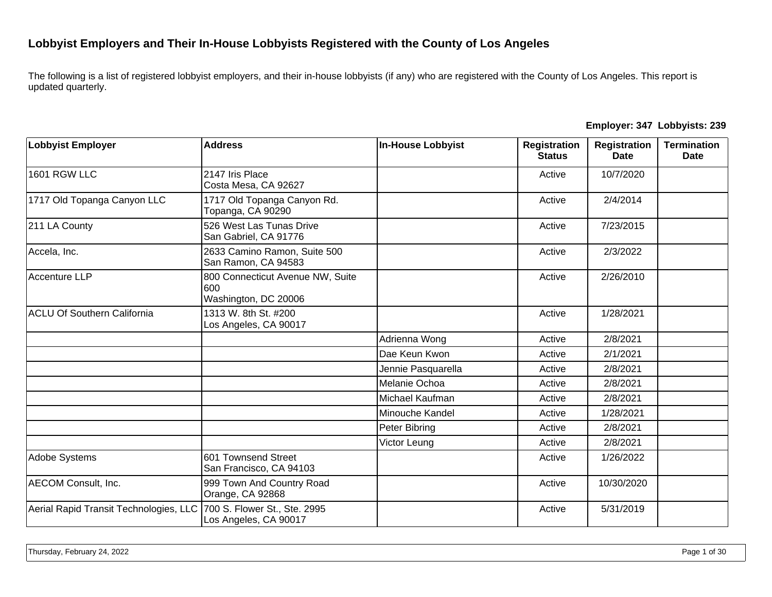## **Lobbyist Employers and Their In-House Lobbyists Registered with the County of Los Angeles**

The following is a list of registered lobbyist employers, and their in-house lobbyists (if any) who are registered with the County of Los Angeles. This report is updated quarterly.

| Employer: 347 Lobbyists: 239 |  |  |  |  |
|------------------------------|--|--|--|--|
|------------------------------|--|--|--|--|

| <b>Lobbyist Employer</b>               | <b>Address</b>                                                  | <b>In-House Lobbyist</b> | <b>Registration</b><br><b>Status</b> | <b>Registration</b><br><b>Date</b> | <b>Termination</b><br>Date |
|----------------------------------------|-----------------------------------------------------------------|--------------------------|--------------------------------------|------------------------------------|----------------------------|
| <b>1601 RGW LLC</b>                    | 2147 Iris Place<br>Costa Mesa, CA 92627                         |                          | Active                               | 10/7/2020                          |                            |
| 1717 Old Topanga Canyon LLC            | 1717 Old Topanga Canyon Rd.<br>Topanga, CA 90290                |                          | Active                               | 2/4/2014                           |                            |
| 211 LA County                          | 526 West Las Tunas Drive<br>San Gabriel, CA 91776               |                          | Active                               | 7/23/2015                          |                            |
| Accela, Inc.                           | 2633 Camino Ramon, Suite 500<br>San Ramon, CA 94583             |                          | Active                               | 2/3/2022                           |                            |
| Accenture LLP                          | 800 Connecticut Avenue NW, Suite<br>600<br>Washington, DC 20006 |                          | Active                               | 2/26/2010                          |                            |
| <b>ACLU Of Southern California</b>     | 1313 W. 8th St. #200<br>Los Angeles, CA 90017                   |                          | Active                               | 1/28/2021                          |                            |
|                                        |                                                                 | Adrienna Wong            | Active                               | 2/8/2021                           |                            |
|                                        |                                                                 | Dae Keun Kwon            | Active                               | 2/1/2021                           |                            |
|                                        |                                                                 | Jennie Pasquarella       | Active                               | 2/8/2021                           |                            |
|                                        |                                                                 | Melanie Ochoa            | Active                               | 2/8/2021                           |                            |
|                                        |                                                                 | Michael Kaufman          | Active                               | 2/8/2021                           |                            |
|                                        |                                                                 | Minouche Kandel          | Active                               | 1/28/2021                          |                            |
|                                        |                                                                 | Peter Bibring            | Active                               | 2/8/2021                           |                            |
|                                        |                                                                 | Victor Leung             | Active                               | 2/8/2021                           |                            |
| Adobe Systems                          | 601 Townsend Street<br>San Francisco, CA 94103                  |                          | Active                               | 1/26/2022                          |                            |
| <b>AECOM Consult, Inc.</b>             | 999 Town And Country Road<br>Orange, CA 92868                   |                          | Active                               | 10/30/2020                         |                            |
| Aerial Rapid Transit Technologies, LLC | 700 S. Flower St., Ste. 2995<br>Los Angeles, CA 90017           |                          | Active                               | 5/31/2019                          |                            |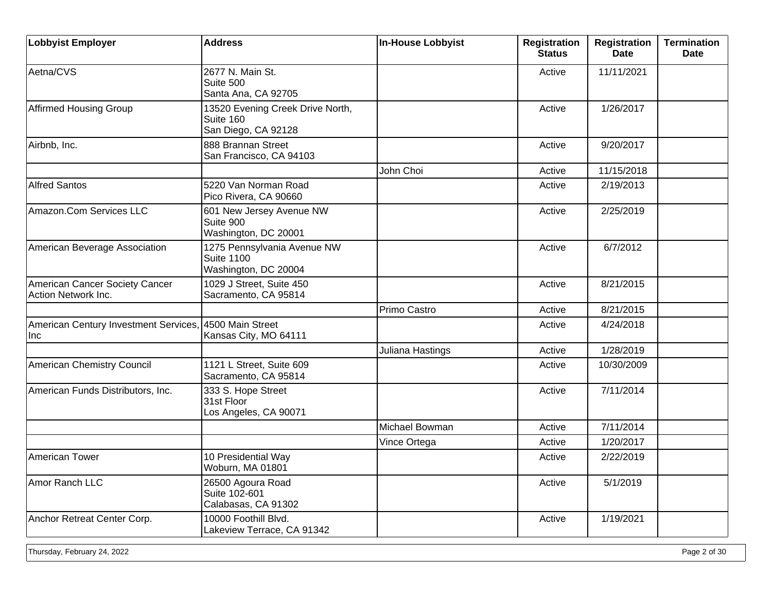| <b>Lobbyist Employer</b>                              | <b>Address</b>                                                           | <b>In-House Lobbyist</b> | <b>Registration</b><br><b>Status</b> | <b>Registration</b><br><b>Date</b> | <b>Termination</b><br><b>Date</b> |
|-------------------------------------------------------|--------------------------------------------------------------------------|--------------------------|--------------------------------------|------------------------------------|-----------------------------------|
| Aetna/CVS                                             | 2677 N. Main St.<br>Suite 500<br>Santa Ana, CA 92705                     |                          | Active                               | 11/11/2021                         |                                   |
| <b>Affirmed Housing Group</b>                         | 13520 Evening Creek Drive North,<br>Suite 160<br>San Diego, CA 92128     |                          | Active                               | 1/26/2017                          |                                   |
| Airbnb, Inc.                                          | 888 Brannan Street<br>San Francisco, CA 94103                            |                          | Active                               | 9/20/2017                          |                                   |
|                                                       |                                                                          | John Choi                | Active                               | 11/15/2018                         |                                   |
| <b>Alfred Santos</b>                                  | 5220 Van Norman Road<br>Pico Rivera, CA 90660                            |                          | Active                               | 2/19/2013                          |                                   |
| Amazon.Com Services LLC                               | 601 New Jersey Avenue NW<br>Suite 900<br>Washington, DC 20001            |                          | Active                               | 2/25/2019                          |                                   |
| American Beverage Association                         | 1275 Pennsylvania Avenue NW<br><b>Suite 1100</b><br>Washington, DC 20004 |                          | Active                               | 6/7/2012                           |                                   |
| American Cancer Society Cancer<br>Action Network Inc. | 1029 J Street, Suite 450<br>Sacramento, CA 95814                         |                          | Active                               | 8/21/2015                          |                                   |
|                                                       |                                                                          | Primo Castro             | Active                               | 8/21/2015                          |                                   |
| American Century Investment Services,<br>Inc          | , 4500 Main Street<br>Kansas City, MO 64111                              |                          | Active                               | 4/24/2018                          |                                   |
|                                                       |                                                                          | Juliana Hastings         | Active                               | 1/28/2019                          |                                   |
| American Chemistry Council                            | 1121 L Street, Suite 609<br>Sacramento, CA 95814                         |                          | Active                               | 10/30/2009                         |                                   |
| American Funds Distributors, Inc.                     | 333 S. Hope Street<br>31st Floor<br>Los Angeles, CA 90071                |                          | Active                               | 7/11/2014                          |                                   |
|                                                       |                                                                          | Michael Bowman           | Active                               | 7/11/2014                          |                                   |
|                                                       |                                                                          | Vince Ortega             | Active                               | 1/20/2017                          |                                   |
| American Tower                                        | 10 Presidential Way<br>Woburn, MA 01801                                  |                          | Active                               | 2/22/2019                          |                                   |
| Amor Ranch LLC                                        | 26500 Agoura Road<br>Suite 102-601<br>Calabasas, CA 91302                |                          | Active                               | 5/1/2019                           |                                   |
| Anchor Retreat Center Corp.                           | 10000 Foothill Blvd.<br>Lakeview Terrace, CA 91342                       |                          | Active                               | 1/19/2021                          |                                   |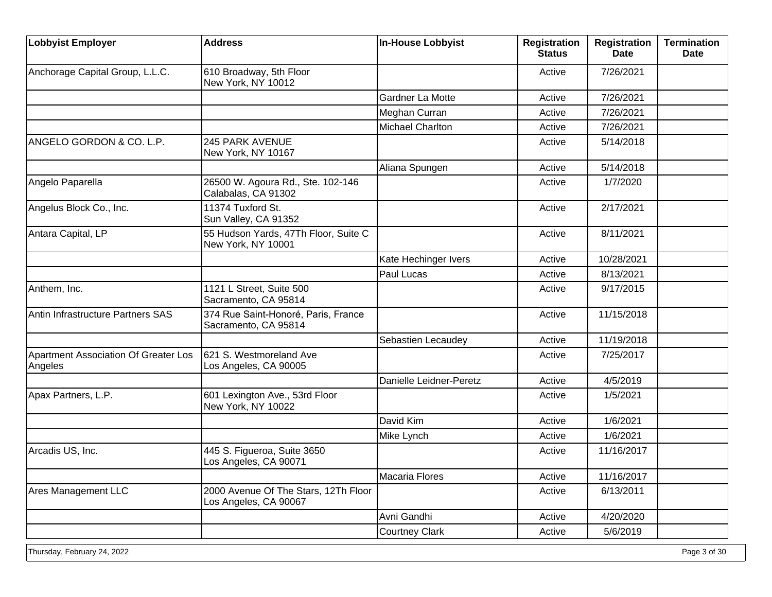| <b>Lobbyist Employer</b>                        | <b>Address</b>                                                | In-House Lobbyist       | <b>Registration</b><br><b>Status</b> | <b>Registration</b><br><b>Date</b> | <b>Termination</b><br><b>Date</b> |
|-------------------------------------------------|---------------------------------------------------------------|-------------------------|--------------------------------------|------------------------------------|-----------------------------------|
| Anchorage Capital Group, L.L.C.                 | 610 Broadway, 5th Floor<br>New York, NY 10012                 |                         | Active                               | 7/26/2021                          |                                   |
|                                                 |                                                               | Gardner La Motte        | Active                               | 7/26/2021                          |                                   |
|                                                 |                                                               | Meghan Curran           | Active                               | 7/26/2021                          |                                   |
|                                                 |                                                               | <b>Michael Charlton</b> | Active                               | 7/26/2021                          |                                   |
| ANGELO GORDON & CO. L.P.                        | <b>245 PARK AVENUE</b><br>New York, NY 10167                  |                         | Active                               | 5/14/2018                          |                                   |
|                                                 |                                                               | Aliana Spungen          | Active                               | 5/14/2018                          |                                   |
| Angelo Paparella                                | 26500 W. Agoura Rd., Ste. 102-146<br>Calabalas, CA 91302      |                         | Active                               | 1/7/2020                           |                                   |
| Angelus Block Co., Inc.                         | 11374 Tuxford St.<br>Sun Valley, CA 91352                     |                         | Active                               | 2/17/2021                          |                                   |
| Antara Capital, LP                              | 55 Hudson Yards, 47Th Floor, Suite C<br>New York, NY 10001    |                         | Active                               | 8/11/2021                          |                                   |
|                                                 |                                                               | Kate Hechinger Ivers    | Active                               | 10/28/2021                         |                                   |
|                                                 |                                                               | Paul Lucas              | Active                               | 8/13/2021                          |                                   |
| Anthem, Inc.                                    | 1121 L Street, Suite 500<br>Sacramento, CA 95814              |                         | Active                               | 9/17/2015                          |                                   |
| Antin Infrastructure Partners SAS               | 374 Rue Saint-Honoré, Paris, France<br>Sacramento, CA 95814   |                         | Active                               | 11/15/2018                         |                                   |
|                                                 |                                                               | Sebastien Lecaudey      | Active                               | 11/19/2018                         |                                   |
| Apartment Association Of Greater Los<br>Angeles | 621 S. Westmoreland Ave<br>Los Angeles, CA 90005              |                         | Active                               | 7/25/2017                          |                                   |
|                                                 |                                                               | Danielle Leidner-Peretz | Active                               | 4/5/2019                           |                                   |
| Apax Partners, L.P.                             | 601 Lexington Ave., 53rd Floor<br>New York, NY 10022          |                         | Active                               | 1/5/2021                           |                                   |
|                                                 |                                                               | David Kim               | Active                               | 1/6/2021                           |                                   |
|                                                 |                                                               | Mike Lynch              | Active                               | 1/6/2021                           |                                   |
| Arcadis US, Inc.                                | 445 S. Figueroa, Suite 3650<br>Los Angeles, CA 90071          |                         | Active                               | 11/16/2017                         |                                   |
|                                                 |                                                               | Macaria Flores          | Active                               | 11/16/2017                         |                                   |
| <b>Ares Management LLC</b>                      | 2000 Avenue Of The Stars, 12Th Floor<br>Los Angeles, CA 90067 |                         | Active                               | 6/13/2011                          |                                   |
|                                                 |                                                               | Avni Gandhi             | Active                               | 4/20/2020                          |                                   |
|                                                 |                                                               | <b>Courtney Clark</b>   | Active                               | 5/6/2019                           |                                   |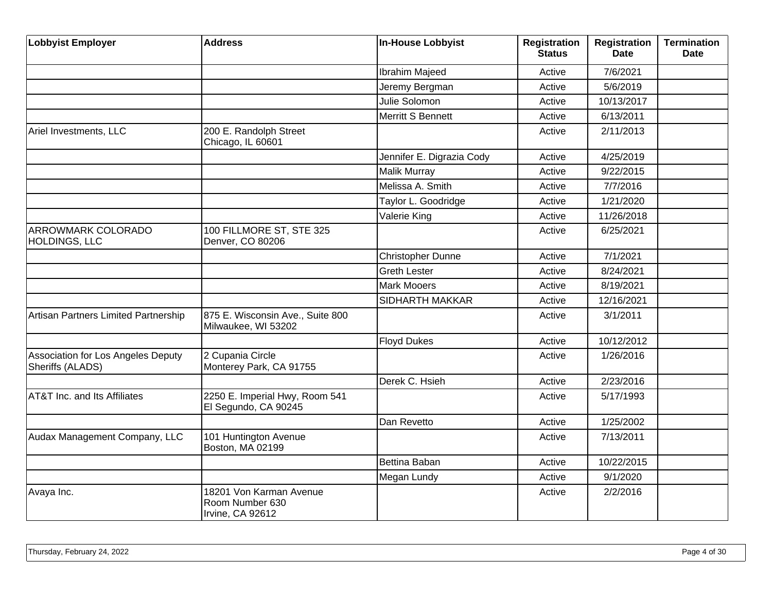| <b>Lobbyist Employer</b>                               | <b>Address</b>                                                 | <b>In-House Lobbyist</b>  | <b>Registration</b><br><b>Status</b> | <b>Registration</b><br><b>Date</b> | <b>Termination</b><br><b>Date</b> |
|--------------------------------------------------------|----------------------------------------------------------------|---------------------------|--------------------------------------|------------------------------------|-----------------------------------|
|                                                        |                                                                | Ibrahim Majeed            | Active                               | 7/6/2021                           |                                   |
|                                                        |                                                                | Jeremy Bergman            | Active                               | 5/6/2019                           |                                   |
|                                                        |                                                                | Julie Solomon             | Active                               | 10/13/2017                         |                                   |
|                                                        |                                                                | Merritt S Bennett         | Active                               | 6/13/2011                          |                                   |
| Ariel Investments, LLC                                 | 200 E. Randolph Street<br>Chicago, IL 60601                    |                           | Active                               | 2/11/2013                          |                                   |
|                                                        |                                                                | Jennifer E. Digrazia Cody | Active                               | 4/25/2019                          |                                   |
|                                                        |                                                                | Malik Murray              | Active                               | 9/22/2015                          |                                   |
|                                                        |                                                                | Melissa A. Smith          | Active                               | 7/7/2016                           |                                   |
|                                                        |                                                                | Taylor L. Goodridge       | Active                               | 1/21/2020                          |                                   |
|                                                        |                                                                | Valerie King              | Active                               | 11/26/2018                         |                                   |
| ARROWMARK COLORADO<br>HOLDINGS, LLC                    | 100 FILLMORE ST, STE 325<br>Denver, CO 80206                   |                           | Active                               | 6/25/2021                          |                                   |
|                                                        |                                                                | Christopher Dunne         | Active                               | 7/1/2021                           |                                   |
|                                                        |                                                                | <b>Greth Lester</b>       | Active                               | 8/24/2021                          |                                   |
|                                                        |                                                                | <b>Mark Mooers</b>        | Active                               | 8/19/2021                          |                                   |
|                                                        |                                                                | SIDHARTH MAKKAR           | Active                               | 12/16/2021                         |                                   |
| Artisan Partners Limited Partnership                   | 875 E. Wisconsin Ave., Suite 800<br>Milwaukee, WI 53202        |                           | Active                               | 3/1/2011                           |                                   |
|                                                        |                                                                | <b>Floyd Dukes</b>        | Active                               | 10/12/2012                         |                                   |
| Association for Los Angeles Deputy<br>Sheriffs (ALADS) | 2 Cupania Circle<br>Monterey Park, CA 91755                    |                           | Active                               | 1/26/2016                          |                                   |
|                                                        |                                                                | Derek C. Hsieh            | Active                               | 2/23/2016                          |                                   |
| <b>AT&amp;T Inc. and Its Affiliates</b>                | 2250 E. Imperial Hwy, Room 541<br>El Segundo, CA 90245         |                           | Active                               | 5/17/1993                          |                                   |
|                                                        |                                                                | Dan Revetto               | Active                               | 1/25/2002                          |                                   |
| Audax Management Company, LLC                          | 101 Huntington Avenue<br>Boston, MA 02199                      |                           | Active                               | 7/13/2011                          |                                   |
|                                                        |                                                                | Bettina Baban             | Active                               | 10/22/2015                         |                                   |
|                                                        |                                                                | Megan Lundy               | Active                               | 9/1/2020                           |                                   |
| Avaya Inc.                                             | 18201 Von Karman Avenue<br>Room Number 630<br>Irvine, CA 92612 |                           | Active                               | 2/2/2016                           |                                   |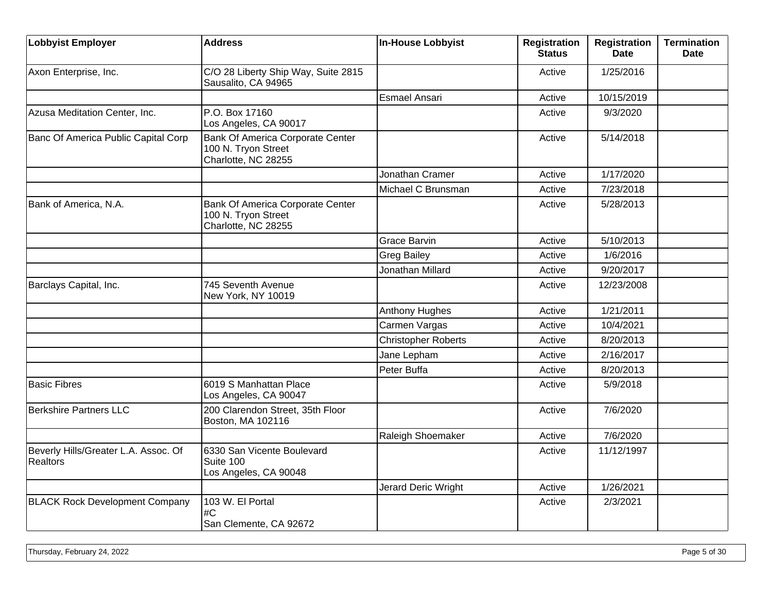| <b>Lobbyist Employer</b>                                | <b>Address</b>                                                                 | <b>In-House Lobbyist</b>   | <b>Registration</b><br><b>Status</b> | <b>Registration</b><br><b>Date</b> | <b>Termination</b><br><b>Date</b> |
|---------------------------------------------------------|--------------------------------------------------------------------------------|----------------------------|--------------------------------------|------------------------------------|-----------------------------------|
| Axon Enterprise, Inc.                                   | C/O 28 Liberty Ship Way, Suite 2815<br>Sausalito, CA 94965                     |                            | Active                               | 1/25/2016                          |                                   |
|                                                         |                                                                                | <b>Esmael Ansari</b>       | Active                               | 10/15/2019                         |                                   |
| Azusa Meditation Center, Inc.                           | P.O. Box 17160<br>Los Angeles, CA 90017                                        |                            | Active                               | 9/3/2020                           |                                   |
| Banc Of America Public Capital Corp                     | Bank Of America Corporate Center<br>100 N. Tryon Street<br>Charlotte, NC 28255 |                            | Active                               | 5/14/2018                          |                                   |
|                                                         |                                                                                | Jonathan Cramer            | Active                               | 1/17/2020                          |                                   |
|                                                         |                                                                                | Michael C Brunsman         | Active                               | 7/23/2018                          |                                   |
| Bank of America, N.A.                                   | Bank Of America Corporate Center<br>100 N. Tryon Street<br>Charlotte, NC 28255 |                            | Active                               | 5/28/2013                          |                                   |
|                                                         |                                                                                | <b>Grace Barvin</b>        | Active                               | 5/10/2013                          |                                   |
|                                                         |                                                                                | <b>Greg Bailey</b>         | Active                               | 1/6/2016                           |                                   |
|                                                         |                                                                                | Jonathan Millard           | Active                               | 9/20/2017                          |                                   |
| Barclays Capital, Inc.                                  | 745 Seventh Avenue<br>New York, NY 10019                                       |                            | Active                               | 12/23/2008                         |                                   |
|                                                         |                                                                                | <b>Anthony Hughes</b>      | Active                               | 1/21/2011                          |                                   |
|                                                         |                                                                                | Carmen Vargas              | Active                               | 10/4/2021                          |                                   |
|                                                         |                                                                                | <b>Christopher Roberts</b> | Active                               | 8/20/2013                          |                                   |
|                                                         |                                                                                | Jane Lepham                | Active                               | 2/16/2017                          |                                   |
|                                                         |                                                                                | Peter Buffa                | Active                               | 8/20/2013                          |                                   |
| <b>Basic Fibres</b>                                     | 6019 S Manhattan Place<br>Los Angeles, CA 90047                                |                            | Active                               | 5/9/2018                           |                                   |
| <b>Berkshire Partners LLC</b>                           | 200 Clarendon Street, 35th Floor<br>Boston, MA 102116                          |                            | Active                               | 7/6/2020                           |                                   |
|                                                         |                                                                                | Raleigh Shoemaker          | Active                               | 7/6/2020                           |                                   |
| Beverly Hills/Greater L.A. Assoc. Of<br><b>Realtors</b> | 6330 San Vicente Boulevard<br>Suite 100<br>Los Angeles, CA 90048               |                            | Active                               | 11/12/1997                         |                                   |
|                                                         |                                                                                | Jerard Deric Wright        | Active                               | 1/26/2021                          |                                   |
| <b>BLACK Rock Development Company</b>                   | 103 W. El Portal<br>#C<br>San Clemente, CA 92672                               |                            | Active                               | 2/3/2021                           |                                   |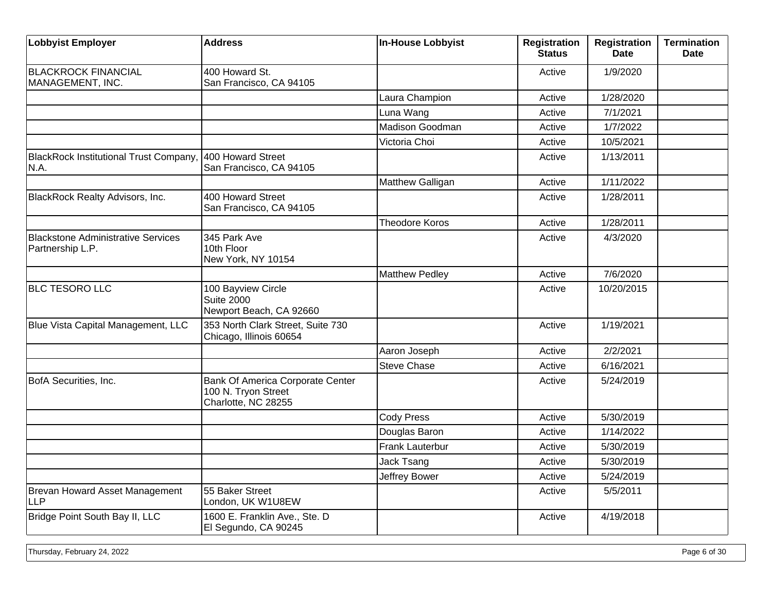| <b>Lobbyist Employer</b>                                      | <b>Address</b>                                                                 | <b>In-House Lobbyist</b> | <b>Registration</b><br><b>Status</b> | Registration<br><b>Date</b> | <b>Termination</b><br><b>Date</b> |
|---------------------------------------------------------------|--------------------------------------------------------------------------------|--------------------------|--------------------------------------|-----------------------------|-----------------------------------|
| <b>BLACKROCK FINANCIAL</b><br>MANAGEMENT, INC.                | 400 Howard St.<br>San Francisco, CA 94105                                      |                          | Active                               | 1/9/2020                    |                                   |
|                                                               |                                                                                | Laura Champion           | Active                               | 1/28/2020                   |                                   |
|                                                               |                                                                                | Luna Wang                | Active                               | 7/1/2021                    |                                   |
|                                                               |                                                                                | Madison Goodman          | Active                               | 1/7/2022                    |                                   |
|                                                               |                                                                                | Victoria Choi            | Active                               | 10/5/2021                   |                                   |
| <b>BlackRock Institutional Trust Company</b><br>N.A.          | 400 Howard Street<br>San Francisco, CA 94105                                   |                          | Active                               | 1/13/2011                   |                                   |
|                                                               |                                                                                | Matthew Galligan         | Active                               | 1/11/2022                   |                                   |
| BlackRock Realty Advisors, Inc.                               | 400 Howard Street<br>San Francisco, CA 94105                                   |                          | Active                               | 1/28/2011                   |                                   |
|                                                               |                                                                                | <b>Theodore Koros</b>    | Active                               | 1/28/2011                   |                                   |
| <b>Blackstone Administrative Services</b><br>Partnership L.P. | 345 Park Ave<br>10th Floor<br>New York, NY 10154                               |                          | Active                               | 4/3/2020                    |                                   |
|                                                               |                                                                                | <b>Matthew Pedley</b>    | Active                               | 7/6/2020                    |                                   |
| <b>BLC TESORO LLC</b>                                         | 100 Bayview Circle<br><b>Suite 2000</b><br>Newport Beach, CA 92660             |                          | Active                               | 10/20/2015                  |                                   |
| Blue Vista Capital Management, LLC                            | 353 North Clark Street, Suite 730<br>Chicago, Illinois 60654                   |                          | Active                               | 1/19/2021                   |                                   |
|                                                               |                                                                                | Aaron Joseph             | Active                               | 2/2/2021                    |                                   |
|                                                               |                                                                                | <b>Steve Chase</b>       | Active                               | 6/16/2021                   |                                   |
| BofA Securities, Inc.                                         | Bank Of America Corporate Center<br>100 N. Tryon Street<br>Charlotte, NC 28255 |                          | Active                               | 5/24/2019                   |                                   |
|                                                               |                                                                                | <b>Cody Press</b>        | Active                               | 5/30/2019                   |                                   |
|                                                               |                                                                                | Douglas Baron            | Active                               | 1/14/2022                   |                                   |
|                                                               |                                                                                | Frank Lauterbur          | Active                               | 5/30/2019                   |                                   |
|                                                               |                                                                                | Jack Tsang               | Active                               | 5/30/2019                   |                                   |
|                                                               |                                                                                | Jeffrey Bower            | Active                               | 5/24/2019                   |                                   |
| Brevan Howard Asset Management<br><b>LLP</b>                  | 55 Baker Street<br>London, UK W1U8EW                                           |                          | Active                               | 5/5/2011                    |                                   |
| Bridge Point South Bay II, LLC                                | 1600 E. Franklin Ave., Ste. D<br>El Segundo, CA 90245                          |                          | Active                               | 4/19/2018                   |                                   |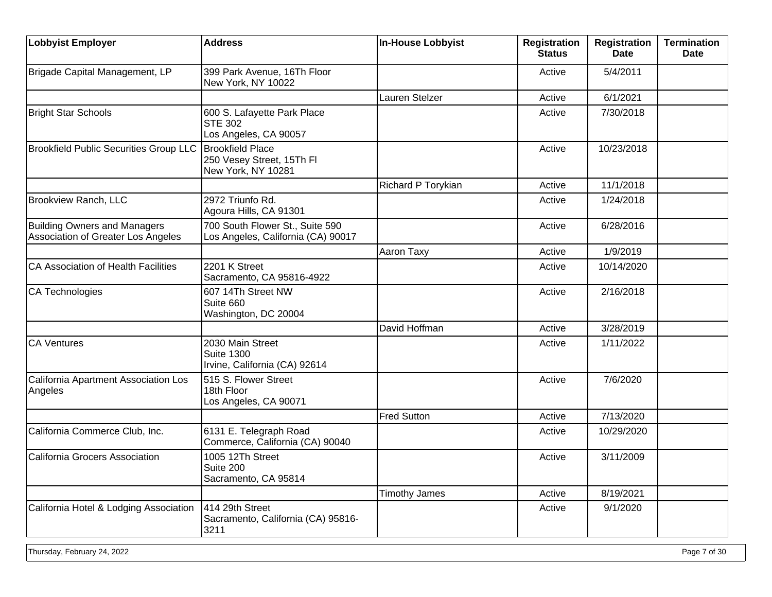| <b>Lobbyist Employer</b>                                                  | <b>Address</b>                                                         | <b>In-House Lobbyist</b> | <b>Registration</b><br><b>Status</b> | <b>Registration</b><br><b>Date</b> | <b>Termination</b><br><b>Date</b> |
|---------------------------------------------------------------------------|------------------------------------------------------------------------|--------------------------|--------------------------------------|------------------------------------|-----------------------------------|
| Brigade Capital Management, LP                                            | 399 Park Avenue, 16Th Floor<br>New York, NY 10022                      |                          | Active                               | 5/4/2011                           |                                   |
|                                                                           |                                                                        | Lauren Stelzer           | Active                               | 6/1/2021                           |                                   |
| <b>Bright Star Schools</b>                                                | 600 S. Lafayette Park Place<br><b>STE 302</b><br>Los Angeles, CA 90057 |                          | Active                               | 7/30/2018                          |                                   |
| <b>Brookfield Public Securities Group LLC</b>                             | Brookfield Place<br>250 Vesey Street, 15Th FI<br>New York, NY 10281    |                          | Active                               | 10/23/2018                         |                                   |
|                                                                           |                                                                        | Richard P Torykian       | Active                               | 11/1/2018                          |                                   |
| <b>Brookview Ranch, LLC</b>                                               | 2972 Triunfo Rd.<br>Agoura Hills, CA 91301                             |                          | Active                               | 1/24/2018                          |                                   |
| <b>Building Owners and Managers</b><br>Association of Greater Los Angeles | 700 South Flower St., Suite 590<br>Los Angeles, California (CA) 90017  |                          | Active                               | 6/28/2016                          |                                   |
|                                                                           |                                                                        | Aaron Taxy               | Active                               | 1/9/2019                           |                                   |
| CA Association of Health Facilities                                       | 2201 K Street<br>Sacramento, CA 95816-4922                             |                          | Active                               | 10/14/2020                         |                                   |
| CA Technologies                                                           | 607 14Th Street NW<br>Suite 660<br>Washington, DC 20004                |                          | Active                               | 2/16/2018                          |                                   |
|                                                                           |                                                                        | David Hoffman            | Active                               | 3/28/2019                          |                                   |
| CA Ventures                                                               | 2030 Main Street<br><b>Suite 1300</b><br>Irvine, California (CA) 92614 |                          | Active                               | 1/11/2022                          |                                   |
| California Apartment Association Los<br>Angeles                           | 515 S. Flower Street<br>18th Floor<br>Los Angeles, CA 90071            |                          | Active                               | 7/6/2020                           |                                   |
|                                                                           |                                                                        | <b>Fred Sutton</b>       | Active                               | 7/13/2020                          |                                   |
| California Commerce Club, Inc.                                            | 6131 E. Telegraph Road<br>Commerce, California (CA) 90040              |                          | Active                               | 10/29/2020                         |                                   |
| California Grocers Association                                            | 1005 12Th Street<br>Suite 200<br>Sacramento, CA 95814                  |                          | Active                               | 3/11/2009                          |                                   |
|                                                                           |                                                                        | <b>Timothy James</b>     | Active                               | 8/19/2021                          |                                   |
| California Hotel & Lodging Association                                    | 414 29th Street<br>Sacramento, California (CA) 95816-<br>3211          |                          | Active                               | 9/1/2020                           |                                   |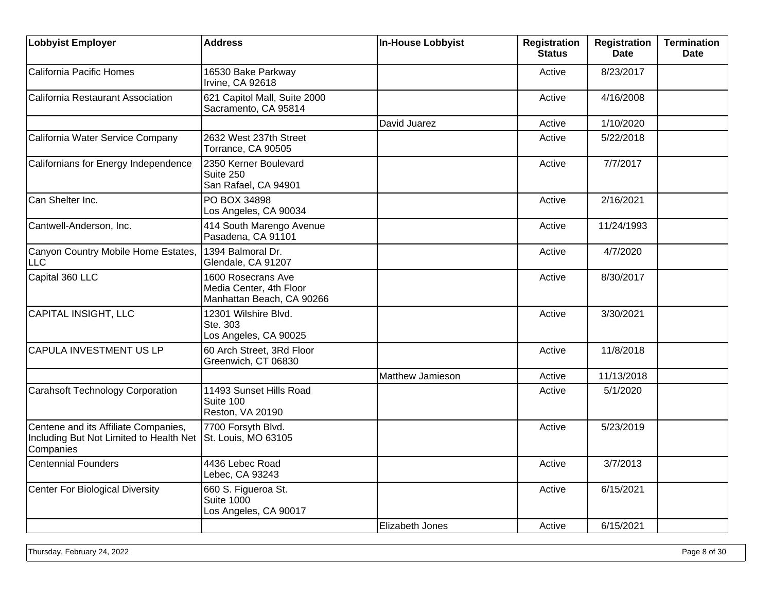| <b>Lobbyist Employer</b>                                                                     | <b>Address</b>                                                             | <b>In-House Lobbyist</b> | <b>Registration</b><br><b>Status</b> | <b>Registration</b><br><b>Date</b> | <b>Termination</b><br><b>Date</b> |
|----------------------------------------------------------------------------------------------|----------------------------------------------------------------------------|--------------------------|--------------------------------------|------------------------------------|-----------------------------------|
| California Pacific Homes                                                                     | 16530 Bake Parkway<br>Irvine, CA 92618                                     |                          | Active                               | 8/23/2017                          |                                   |
| California Restaurant Association                                                            | 621 Capitol Mall, Suite 2000<br>Sacramento, CA 95814                       |                          | Active                               | 4/16/2008                          |                                   |
|                                                                                              |                                                                            | David Juarez             | Active                               | 1/10/2020                          |                                   |
| California Water Service Company                                                             | 2632 West 237th Street<br>Torrance, CA 90505                               |                          | Active                               | 5/22/2018                          |                                   |
| Californians for Energy Independence                                                         | 2350 Kerner Boulevard<br>Suite 250<br>San Rafael, CA 94901                 |                          | Active                               | 7/7/2017                           |                                   |
| Can Shelter Inc.                                                                             | PO BOX 34898<br>Los Angeles, CA 90034                                      |                          | Active                               | 2/16/2021                          |                                   |
| Cantwell-Anderson, Inc.                                                                      | 414 South Marengo Avenue<br>Pasadena, CA 91101                             |                          | Active                               | 11/24/1993                         |                                   |
| Canyon Country Mobile Home Estates,<br><b>LLC</b>                                            | 1394 Balmoral Dr.<br>Glendale, CA 91207                                    |                          | Active                               | 4/7/2020                           |                                   |
| Capital 360 LLC                                                                              | 1600 Rosecrans Ave<br>Media Center, 4th Floor<br>Manhattan Beach, CA 90266 |                          | Active                               | 8/30/2017                          |                                   |
| CAPITAL INSIGHT, LLC                                                                         | 12301 Wilshire Blvd.<br>Ste. 303<br>Los Angeles, CA 90025                  |                          | Active                               | 3/30/2021                          |                                   |
| CAPULA INVESTMENT US LP                                                                      | 60 Arch Street, 3Rd Floor<br>Greenwich, CT 06830                           |                          | Active                               | 11/8/2018                          |                                   |
|                                                                                              |                                                                            | Matthew Jamieson         | Active                               | 11/13/2018                         |                                   |
| <b>Carahsoft Technology Corporation</b>                                                      | 11493 Sunset Hills Road<br>Suite 100<br>Reston, VA 20190                   |                          | Active                               | 5/1/2020                           |                                   |
| Centene and its Affiliate Companies,<br>Including But Not Limited to Health Net<br>Companies | 7700 Forsyth Blvd.<br>St. Louis, MO 63105                                  |                          | Active                               | 5/23/2019                          |                                   |
| <b>Centennial Founders</b>                                                                   | 4436 Lebec Road<br>Lebec, CA 93243                                         |                          | Active                               | 3/7/2013                           |                                   |
| Center For Biological Diversity                                                              | 660 S. Figueroa St.<br><b>Suite 1000</b><br>Los Angeles, CA 90017          |                          | Active                               | 6/15/2021                          |                                   |
|                                                                                              |                                                                            | Elizabeth Jones          | Active                               | 6/15/2021                          |                                   |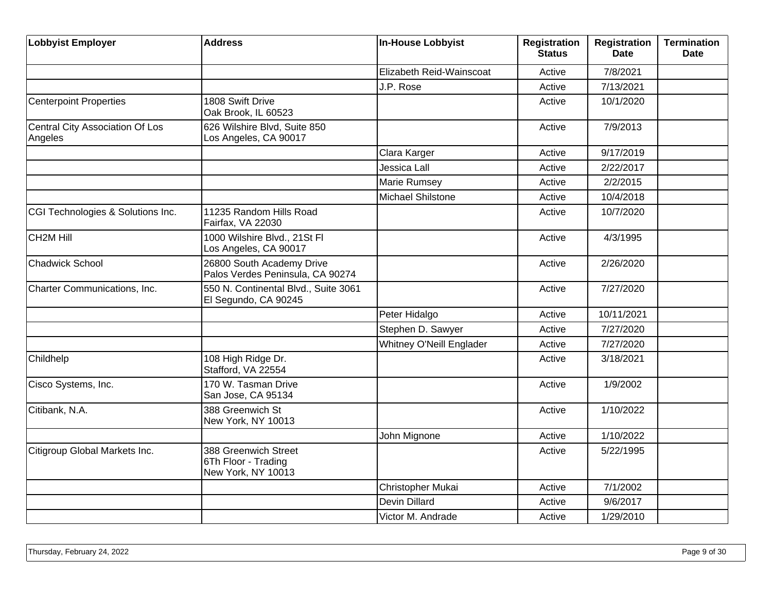| <b>Lobbyist Employer</b>                   | <b>Address</b>                                                    | <b>In-House Lobbyist</b> | Registration<br><b>Status</b> | <b>Registration</b><br><b>Date</b> | <b>Termination</b><br><b>Date</b> |
|--------------------------------------------|-------------------------------------------------------------------|--------------------------|-------------------------------|------------------------------------|-----------------------------------|
|                                            |                                                                   | Elizabeth Reid-Wainscoat | Active                        | 7/8/2021                           |                                   |
|                                            |                                                                   | J.P. Rose                | Active                        | 7/13/2021                          |                                   |
| <b>Centerpoint Properties</b>              | 1808 Swift Drive<br>Oak Brook, IL 60523                           |                          | Active                        | 10/1/2020                          |                                   |
| Central City Association Of Los<br>Angeles | 626 Wilshire Blvd, Suite 850<br>Los Angeles, CA 90017             |                          | Active                        | 7/9/2013                           |                                   |
|                                            |                                                                   | Clara Karger             | Active                        | 9/17/2019                          |                                   |
|                                            |                                                                   | Jessica Lall             | Active                        | 2/22/2017                          |                                   |
|                                            |                                                                   | Marie Rumsey             | Active                        | 2/2/2015                           |                                   |
|                                            |                                                                   | Michael Shilstone        | Active                        | 10/4/2018                          |                                   |
| CGI Technologies & Solutions Inc.          | 11235 Random Hills Road<br>Fairfax, VA 22030                      |                          | Active                        | 10/7/2020                          |                                   |
| CH <sub>2M</sub> Hill                      | 1000 Wilshire Blvd., 21St Fl<br>Los Angeles, CA 90017             |                          | Active                        | 4/3/1995                           |                                   |
| <b>Chadwick School</b>                     | 26800 South Academy Drive<br>Palos Verdes Peninsula, CA 90274     |                          | Active                        | 2/26/2020                          |                                   |
| Charter Communications, Inc.               | 550 N. Continental Blvd., Suite 3061<br>El Segundo, CA 90245      |                          | Active                        | 7/27/2020                          |                                   |
|                                            |                                                                   | Peter Hidalgo            | Active                        | 10/11/2021                         |                                   |
|                                            |                                                                   | Stephen D. Sawyer        | Active                        | 7/27/2020                          |                                   |
|                                            |                                                                   | Whitney O'Neill Englader | Active                        | 7/27/2020                          |                                   |
| Childhelp                                  | 108 High Ridge Dr.<br>Stafford, VA 22554                          |                          | Active                        | 3/18/2021                          |                                   |
| Cisco Systems, Inc.                        | 170 W. Tasman Drive<br>San Jose, CA 95134                         |                          | Active                        | 1/9/2002                           |                                   |
| Citibank, N.A.                             | 388 Greenwich St<br>New York, NY 10013                            |                          | Active                        | 1/10/2022                          |                                   |
|                                            |                                                                   | John Mignone             | Active                        | 1/10/2022                          |                                   |
| Citigroup Global Markets Inc.              | 388 Greenwich Street<br>6Th Floor - Trading<br>New York, NY 10013 |                          | Active                        | 5/22/1995                          |                                   |
|                                            |                                                                   | Christopher Mukai        | Active                        | 7/1/2002                           |                                   |
|                                            |                                                                   | <b>Devin Dillard</b>     | Active                        | 9/6/2017                           |                                   |
|                                            |                                                                   | Victor M. Andrade        | Active                        | 1/29/2010                          |                                   |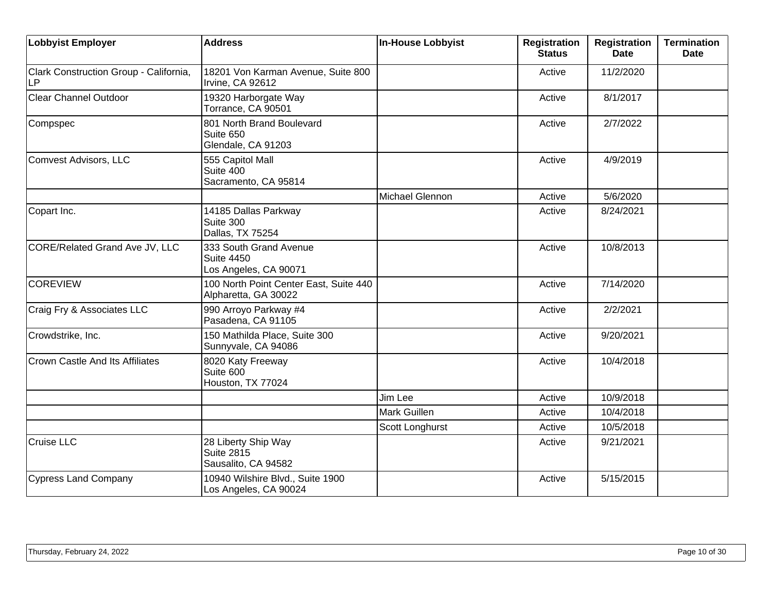| <b>Lobbyist Employer</b>                     | <b>Address</b>                                                       | In-House Lobbyist | <b>Registration</b><br><b>Status</b> | <b>Registration</b><br><b>Date</b> | <b>Termination</b><br><b>Date</b> |
|----------------------------------------------|----------------------------------------------------------------------|-------------------|--------------------------------------|------------------------------------|-----------------------------------|
| Clark Construction Group - California,<br>LP | 18201 Von Karman Avenue, Suite 800<br>Irvine, CA 92612               |                   | Active                               | 11/2/2020                          |                                   |
| <b>Clear Channel Outdoor</b>                 | 19320 Harborgate Way<br>Torrance, CA 90501                           |                   | Active                               | 8/1/2017                           |                                   |
| Compspec                                     | 801 North Brand Boulevard<br>Suite 650<br>Glendale, CA 91203         |                   | Active                               | 2/7/2022                           |                                   |
| Comvest Advisors, LLC                        | 555 Capitol Mall<br>Suite 400<br>Sacramento, CA 95814                |                   | Active                               | 4/9/2019                           |                                   |
|                                              |                                                                      | Michael Glennon   | Active                               | 5/6/2020                           |                                   |
| Copart Inc.                                  | 14185 Dallas Parkway<br>Suite 300<br>Dallas, TX 75254                |                   | Active                               | 8/24/2021                          |                                   |
| CORE/Related Grand Ave JV, LLC               | 333 South Grand Avenue<br><b>Suite 4450</b><br>Los Angeles, CA 90071 |                   | Active                               | 10/8/2013                          |                                   |
| <b>COREVIEW</b>                              | 100 North Point Center East, Suite 440<br>Alpharetta, GA 30022       |                   | Active                               | 7/14/2020                          |                                   |
| Craig Fry & Associates LLC                   | 990 Arroyo Parkway #4<br>Pasadena, CA 91105                          |                   | Active                               | 2/2/2021                           |                                   |
| Crowdstrike, Inc.                            | 150 Mathilda Place, Suite 300<br>Sunnyvale, CA 94086                 |                   | Active                               | 9/20/2021                          |                                   |
| <b>Crown Castle And Its Affiliates</b>       | 8020 Katy Freeway<br>Suite 600<br>Houston, TX 77024                  |                   | Active                               | 10/4/2018                          |                                   |
|                                              |                                                                      | Jim Lee           | Active                               | 10/9/2018                          |                                   |
|                                              |                                                                      | Mark Guillen      | Active                               | 10/4/2018                          |                                   |
|                                              |                                                                      | Scott Longhurst   | Active                               | 10/5/2018                          |                                   |
| <b>Cruise LLC</b>                            | 28 Liberty Ship Way<br>Suite 2815<br>Sausalito, CA 94582             |                   | Active                               | 9/21/2021                          |                                   |
| Cypress Land Company                         | 10940 Wilshire Blvd., Suite 1900<br>Los Angeles, CA 90024            |                   | Active                               | 5/15/2015                          |                                   |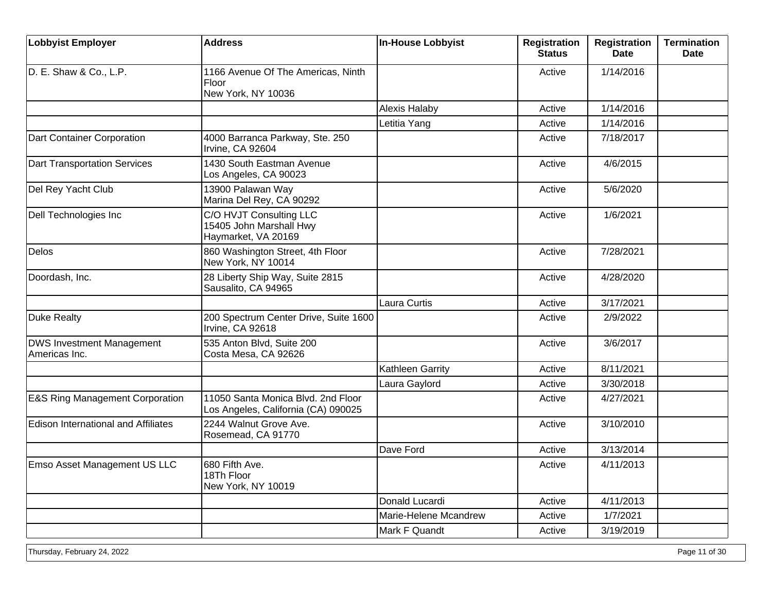| <b>Lobbyist Employer</b>                          | <b>Address</b>                                                            | <b>In-House Lobbyist</b> | <b>Registration</b><br><b>Status</b> | <b>Registration</b><br><b>Date</b> | <b>Termination</b><br><b>Date</b> |
|---------------------------------------------------|---------------------------------------------------------------------------|--------------------------|--------------------------------------|------------------------------------|-----------------------------------|
| D. E. Shaw & Co., L.P.                            | 1166 Avenue Of The Americas, Ninth<br>Floor<br>New York, NY 10036         |                          | Active                               | 1/14/2016                          |                                   |
|                                                   |                                                                           | <b>Alexis Halaby</b>     | Active                               | 1/14/2016                          |                                   |
|                                                   |                                                                           | Letitia Yang             | Active                               | 1/14/2016                          |                                   |
| Dart Container Corporation                        | 4000 Barranca Parkway, Ste. 250<br>Irvine, CA 92604                       |                          | Active                               | 7/18/2017                          |                                   |
| <b>Dart Transportation Services</b>               | 1430 South Eastman Avenue<br>Los Angeles, CA 90023                        |                          | Active                               | 4/6/2015                           |                                   |
| Del Rey Yacht Club                                | 13900 Palawan Way<br>Marina Del Rey, CA 90292                             |                          | Active                               | 5/6/2020                           |                                   |
| Dell Technologies Inc                             | C/O HVJT Consulting LLC<br>15405 John Marshall Hwy<br>Haymarket, VA 20169 |                          | Active                               | 1/6/2021                           |                                   |
| Delos                                             | 860 Washington Street, 4th Floor<br>New York, NY 10014                    |                          | Active                               | 7/28/2021                          |                                   |
| Doordash, Inc.                                    | 28 Liberty Ship Way, Suite 2815<br>Sausalito, CA 94965                    |                          | Active                               | 4/28/2020                          |                                   |
|                                                   |                                                                           | Laura Curtis             | Active                               | 3/17/2021                          |                                   |
| Duke Realty                                       | 200 Spectrum Center Drive, Suite 1600<br>Irvine, CA 92618                 |                          | Active                               | 2/9/2022                           |                                   |
| <b>DWS Investment Management</b><br>Americas Inc. | 535 Anton Blvd, Suite 200<br>Costa Mesa, CA 92626                         |                          | Active                               | 3/6/2017                           |                                   |
|                                                   |                                                                           | Kathleen Garrity         | Active                               | 8/11/2021                          |                                   |
|                                                   |                                                                           | Laura Gaylord            | Active                               | 3/30/2018                          |                                   |
| <b>E&amp;S Ring Management Corporation</b>        | 11050 Santa Monica Blvd. 2nd Floor<br>Los Angeles, California (CA) 090025 |                          | Active                               | 4/27/2021                          |                                   |
| <b>Edison International and Affiliates</b>        | 2244 Walnut Grove Ave.<br>Rosemead, CA 91770                              |                          | Active                               | 3/10/2010                          |                                   |
|                                                   |                                                                           | Dave Ford                | Active                               | 3/13/2014                          |                                   |
| Emso Asset Management US LLC                      | 680 Fifth Ave.<br>18Th Floor<br>New York, NY 10019                        |                          | Active                               | 4/11/2013                          |                                   |
|                                                   |                                                                           | Donald Lucardi           | Active                               | 4/11/2013                          |                                   |
|                                                   |                                                                           | Marie-Helene Mcandrew    | Active                               | 1/7/2021                           |                                   |
|                                                   |                                                                           | Mark F Quandt            | Active                               | 3/19/2019                          |                                   |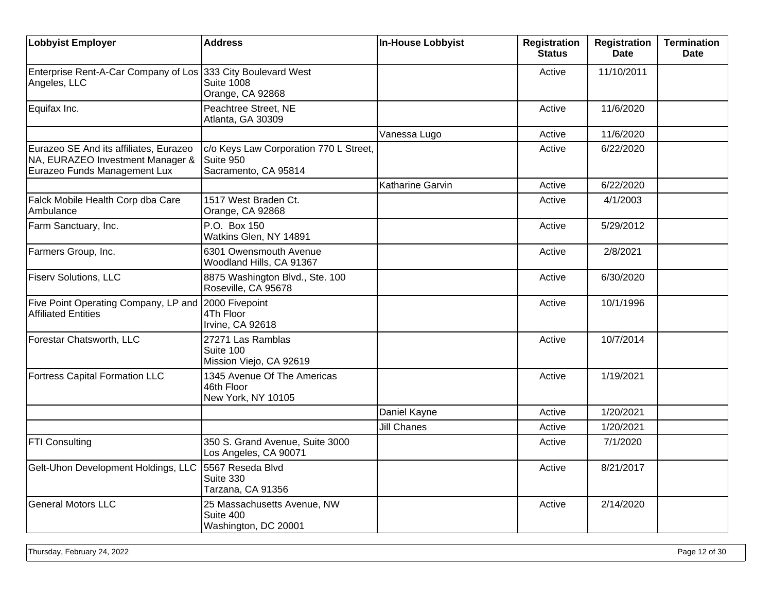| <b>Lobbyist Employer</b>                                                                                   | <b>Address</b>                                                              | <b>In-House Lobbyist</b> | <b>Registration</b><br><b>Status</b> | <b>Registration</b><br><b>Date</b> | <b>Termination</b><br><b>Date</b> |
|------------------------------------------------------------------------------------------------------------|-----------------------------------------------------------------------------|--------------------------|--------------------------------------|------------------------------------|-----------------------------------|
| Enterprise Rent-A-Car Company of Los 333 City Boulevard West<br>Angeles, LLC                               | <b>Suite 1008</b><br>Orange, CA 92868                                       |                          | Active                               | 11/10/2011                         |                                   |
| Equifax Inc.                                                                                               | Peachtree Street, NE<br>Atlanta, GA 30309                                   |                          | Active                               | 11/6/2020                          |                                   |
|                                                                                                            |                                                                             | Vanessa Lugo             | Active                               | 11/6/2020                          |                                   |
| Eurazeo SE And its affiliates, Eurazeo<br>NA, EURAZEO Investment Manager &<br>Eurazeo Funds Management Lux | c/o Keys Law Corporation 770 L Street,<br>Suite 950<br>Sacramento, CA 95814 |                          | Active                               | 6/22/2020                          |                                   |
|                                                                                                            |                                                                             | Katharine Garvin         | Active                               | 6/22/2020                          |                                   |
| Falck Mobile Health Corp dba Care<br>Ambulance                                                             | 1517 West Braden Ct.<br>Orange, CA 92868                                    |                          | Active                               | 4/1/2003                           |                                   |
| Farm Sanctuary, Inc.                                                                                       | P.O. Box 150<br>Watkins Glen, NY 14891                                      |                          | Active                               | 5/29/2012                          |                                   |
| Farmers Group, Inc.                                                                                        | 6301 Owensmouth Avenue<br>Woodland Hills, CA 91367                          |                          | Active                               | 2/8/2021                           |                                   |
| <b>Fiserv Solutions, LLC</b>                                                                               | 8875 Washington Blvd., Ste. 100<br>Roseville, CA 95678                      |                          | Active                               | 6/30/2020                          |                                   |
| Five Point Operating Company, LP and<br><b>Affiliated Entities</b>                                         | 2000 Fivepoint<br>4Th Floor<br>Irvine, CA 92618                             |                          | Active                               | 10/1/1996                          |                                   |
| Forestar Chatsworth, LLC                                                                                   | 27271 Las Ramblas<br>Suite 100<br>Mission Viejo, CA 92619                   |                          | Active                               | 10/7/2014                          |                                   |
| <b>Fortress Capital Formation LLC</b>                                                                      | 1345 Avenue Of The Americas<br>46th Floor<br>New York, NY 10105             |                          | Active                               | 1/19/2021                          |                                   |
|                                                                                                            |                                                                             | Daniel Kayne             | Active                               | 1/20/2021                          |                                   |
|                                                                                                            |                                                                             | <b>Jill Chanes</b>       | Active                               | 1/20/2021                          |                                   |
| FTI Consulting                                                                                             | 350 S. Grand Avenue, Suite 3000<br>Los Angeles, CA 90071                    |                          | Active                               | 7/1/2020                           |                                   |
| Gelt-Uhon Development Holdings, LLC                                                                        | 5567 Reseda Blvd<br>Suite 330<br>Tarzana, CA 91356                          |                          | Active                               | 8/21/2017                          |                                   |
| <b>General Motors LLC</b>                                                                                  | 25 Massachusetts Avenue, NW<br>Suite 400<br>Washington, DC 20001            |                          | Active                               | 2/14/2020                          |                                   |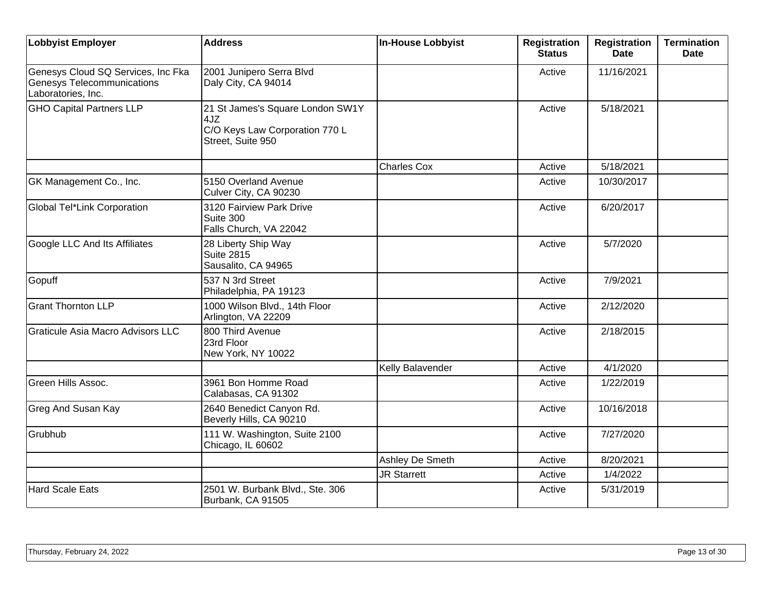| <b>Lobbyist Employer</b>                                                                      | <b>Address</b>                                                                                 | <b>In-House Lobbyist</b> | <b>Registration</b><br><b>Status</b> | <b>Registration</b><br><b>Date</b> | <b>Termination</b><br><b>Date</b> |
|-----------------------------------------------------------------------------------------------|------------------------------------------------------------------------------------------------|--------------------------|--------------------------------------|------------------------------------|-----------------------------------|
| Genesys Cloud SQ Services, Inc Fka<br><b>Genesys Telecommunications</b><br>Laboratories, Inc. | 2001 Junipero Serra Blvd<br>Daly City, CA 94014                                                |                          | Active                               | 11/16/2021                         |                                   |
| <b>GHO Capital Partners LLP</b>                                                               | 21 St James's Square London SW1Y<br>4JZ<br>C/O Keys Law Corporation 770 L<br>Street, Suite 950 |                          | Active                               | 5/18/2021                          |                                   |
|                                                                                               |                                                                                                | <b>Charles Cox</b>       | Active                               | 5/18/2021                          |                                   |
| GK Management Co., Inc.                                                                       | 5150 Overland Avenue<br>Culver City, CA 90230                                                  |                          | Active                               | 10/30/2017                         |                                   |
| Global Tel*Link Corporation                                                                   | 3120 Fairview Park Drive<br>Suite 300<br>Falls Church, VA 22042                                |                          | Active                               | 6/20/2017                          |                                   |
| Google LLC And Its Affiliates                                                                 | 28 Liberty Ship Way<br><b>Suite 2815</b><br>Sausalito, CA 94965                                |                          | Active                               | 5/7/2020                           |                                   |
| Gopuff                                                                                        | 537 N 3rd Street<br>Philadelphia, PA 19123                                                     |                          | Active                               | 7/9/2021                           |                                   |
| <b>Grant Thornton LLP</b>                                                                     | 1000 Wilson Blvd., 14th Floor<br>Arlington, VA 22209                                           |                          | Active                               | 2/12/2020                          |                                   |
| Graticule Asia Macro Advisors LLC                                                             | 800 Third Avenue<br>23rd Floor<br>New York, NY 10022                                           |                          | Active                               | 2/18/2015                          |                                   |
|                                                                                               |                                                                                                | Kelly Balavender         | Active                               | 4/1/2020                           |                                   |
| Green Hills Assoc.                                                                            | 3961 Bon Homme Road<br>Calabasas, CA 91302                                                     |                          | Active                               | 1/22/2019                          |                                   |
| Greg And Susan Kay                                                                            | 2640 Benedict Canyon Rd.<br>Beverly Hills, CA 90210                                            |                          | Active                               | 10/16/2018                         |                                   |
| Grubhub                                                                                       | 111 W. Washington, Suite 2100<br>Chicago, IL 60602                                             |                          | Active                               | 7/27/2020                          |                                   |
|                                                                                               |                                                                                                | Ashley De Smeth          | Active                               | 8/20/2021                          |                                   |
|                                                                                               |                                                                                                | <b>JR Starrett</b>       | Active                               | 1/4/2022                           |                                   |
| <b>Hard Scale Eats</b>                                                                        | 2501 W. Burbank Blvd., Ste. 306<br>Burbank, CA 91505                                           |                          | Active                               | 5/31/2019                          |                                   |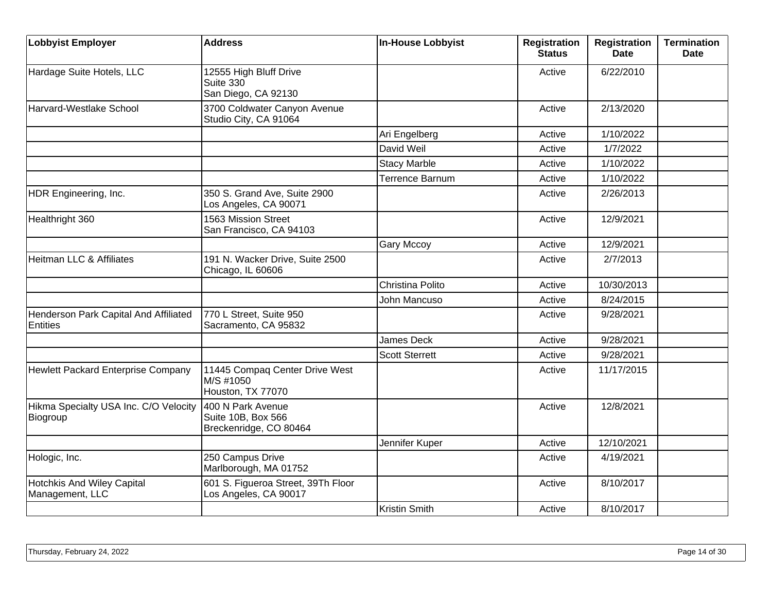| <b>Lobbyist Employer</b>                          | <b>Address</b>                                                    | In-House Lobbyist      | <b>Registration</b><br>Status | <b>Registration</b><br><b>Date</b> | <b>Termination</b><br><b>Date</b> |
|---------------------------------------------------|-------------------------------------------------------------------|------------------------|-------------------------------|------------------------------------|-----------------------------------|
| Hardage Suite Hotels, LLC                         | 12555 High Bluff Drive<br>Suite 330<br>San Diego, CA 92130        |                        | Active                        | 6/22/2010                          |                                   |
| Harvard-Westlake School                           | 3700 Coldwater Canyon Avenue<br>Studio City, CA 91064             |                        | Active                        | 2/13/2020                          |                                   |
|                                                   |                                                                   | Ari Engelberg          | Active                        | 1/10/2022                          |                                   |
|                                                   |                                                                   | David Weil             | Active                        | 1/7/2022                           |                                   |
|                                                   |                                                                   | <b>Stacy Marble</b>    | Active                        | 1/10/2022                          |                                   |
|                                                   |                                                                   | <b>Terrence Barnum</b> | Active                        | 1/10/2022                          |                                   |
| HDR Engineering, Inc.                             | 350 S. Grand Ave, Suite 2900<br>Los Angeles, CA 90071             |                        | Active                        | 2/26/2013                          |                                   |
| Healthright 360                                   | 1563 Mission Street<br>San Francisco, CA 94103                    |                        | Active                        | 12/9/2021                          |                                   |
|                                                   |                                                                   | Gary Mccoy             | Active                        | 12/9/2021                          |                                   |
| Heitman LLC & Affiliates                          | 191 N. Wacker Drive, Suite 2500<br>Chicago, IL 60606              |                        | Active                        | 2/7/2013                           |                                   |
|                                                   |                                                                   | Christina Polito       | Active                        | 10/30/2013                         |                                   |
|                                                   |                                                                   | John Mancuso           | Active                        | 8/24/2015                          |                                   |
| Henderson Park Capital And Affiliated<br>Entities | 770 L Street, Suite 950<br>Sacramento, CA 95832                   |                        | Active                        | 9/28/2021                          |                                   |
|                                                   |                                                                   | <b>James Deck</b>      | Active                        | 9/28/2021                          |                                   |
|                                                   |                                                                   | <b>Scott Sterrett</b>  | Active                        | 9/28/2021                          |                                   |
| Hewlett Packard Enterprise Company                | 11445 Compaq Center Drive West<br>M/S #1050<br>Houston, TX 77070  |                        | Active                        | 11/17/2015                         |                                   |
| Hikma Specialty USA Inc. C/O Velocity<br>Biogroup | 400 N Park Avenue<br>Suite 10B, Box 566<br>Breckenridge, CO 80464 |                        | Active                        | 12/8/2021                          |                                   |
|                                                   |                                                                   | Jennifer Kuper         | Active                        | 12/10/2021                         |                                   |
| Hologic, Inc.                                     | 250 Campus Drive<br>Marlborough, MA 01752                         |                        | Active                        | 4/19/2021                          |                                   |
| Hotchkis And Wiley Capital<br>Management, LLC     | 601 S. Figueroa Street, 39Th Floor<br>Los Angeles, CA 90017       |                        | Active                        | 8/10/2017                          |                                   |
|                                                   |                                                                   | <b>Kristin Smith</b>   | Active                        | 8/10/2017                          |                                   |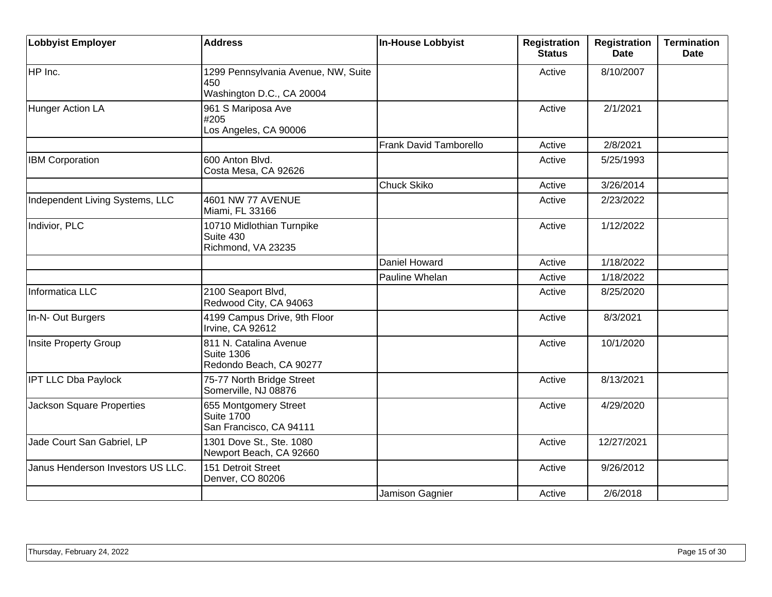| <b>Lobbyist Employer</b>          | <b>Address</b>                                                          | In-House Lobbyist      | <b>Registration</b><br><b>Status</b> | <b>Registration</b><br>Date | <b>Termination</b><br><b>Date</b> |
|-----------------------------------|-------------------------------------------------------------------------|------------------------|--------------------------------------|-----------------------------|-----------------------------------|
| HP Inc.                           | 1299 Pennsylvania Avenue, NW, Suite<br>450<br>Washington D.C., CA 20004 |                        | Active                               | 8/10/2007                   |                                   |
| Hunger Action LA                  | 961 S Mariposa Ave<br>#205<br>Los Angeles, CA 90006                     |                        | Active                               | 2/1/2021                    |                                   |
|                                   |                                                                         | Frank David Tamborello | Active                               | 2/8/2021                    |                                   |
| <b>IBM Corporation</b>            | 600 Anton Blvd.<br>Costa Mesa, CA 92626                                 |                        | Active                               | 5/25/1993                   |                                   |
|                                   |                                                                         | <b>Chuck Skiko</b>     | Active                               | 3/26/2014                   |                                   |
| Independent Living Systems, LLC   | <b>4601 NW 77 AVENUE</b><br>Miami, FL 33166                             |                        | Active                               | 2/23/2022                   |                                   |
| Indivior, PLC                     | 10710 Midlothian Turnpike<br>Suite 430<br>Richmond, VA 23235            |                        | Active                               | 1/12/2022                   |                                   |
|                                   |                                                                         | Daniel Howard          | Active                               | 1/18/2022                   |                                   |
|                                   |                                                                         | Pauline Whelan         | Active                               | 1/18/2022                   |                                   |
| Informatica LLC                   | 2100 Seaport Blvd,<br>Redwood City, CA 94063                            |                        | Active                               | 8/25/2020                   |                                   |
| In-N- Out Burgers                 | 4199 Campus Drive, 9th Floor<br>Irvine, CA 92612                        |                        | Active                               | 8/3/2021                    |                                   |
| Insite Property Group             | 811 N. Catalina Avenue<br><b>Suite 1306</b><br>Redondo Beach, CA 90277  |                        | Active                               | 10/1/2020                   |                                   |
| <b>IPT LLC Dba Paylock</b>        | 75-77 North Bridge Street<br>Somerville, NJ 08876                       |                        | Active                               | 8/13/2021                   |                                   |
| <b>Jackson Square Properties</b>  | 655 Montgomery Street<br><b>Suite 1700</b><br>San Francisco, CA 94111   |                        | Active                               | 4/29/2020                   |                                   |
| Jade Court San Gabriel, LP        | 1301 Dove St., Ste. 1080<br>Newport Beach, CA 92660                     |                        | Active                               | 12/27/2021                  |                                   |
| Janus Henderson Investors US LLC. | 151 Detroit Street<br>Denver, CO 80206                                  |                        | Active                               | 9/26/2012                   |                                   |
|                                   |                                                                         | Jamison Gagnier        | Active                               | 2/6/2018                    |                                   |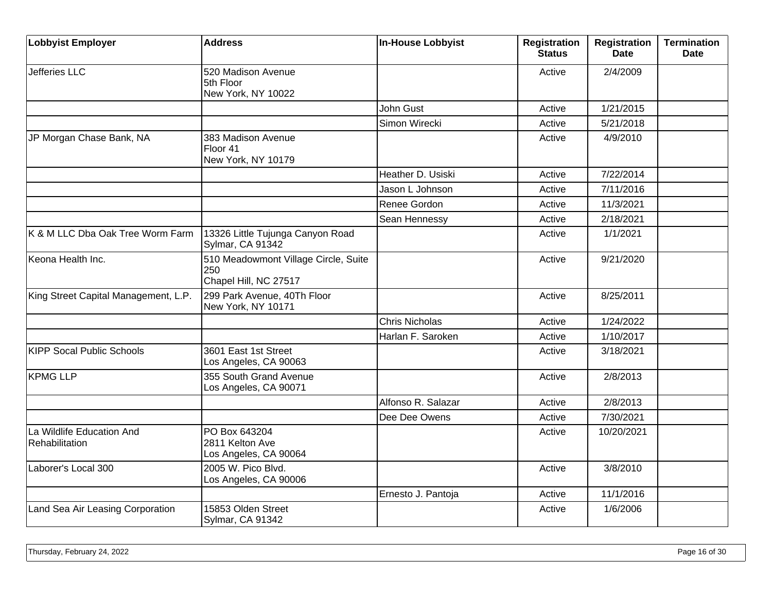| <b>Lobbyist Employer</b>                    | <b>Address</b>                                                       | In-House Lobbyist     | <b>Registration</b><br><b>Status</b> | <b>Registration</b><br><b>Date</b> | <b>Termination</b><br><b>Date</b> |
|---------------------------------------------|----------------------------------------------------------------------|-----------------------|--------------------------------------|------------------------------------|-----------------------------------|
| Jefferies LLC                               | 520 Madison Avenue<br>5th Floor<br>New York, NY 10022                |                       | Active                               | 2/4/2009                           |                                   |
|                                             |                                                                      | John Gust             | Active                               | 1/21/2015                          |                                   |
|                                             |                                                                      | Simon Wirecki         | Active                               | 5/21/2018                          |                                   |
| JP Morgan Chase Bank, NA                    | 383 Madison Avenue<br>Floor 41<br>New York, NY 10179                 |                       | Active                               | 4/9/2010                           |                                   |
|                                             |                                                                      | Heather D. Usiski     | Active                               | 7/22/2014                          |                                   |
|                                             |                                                                      | Jason L Johnson       | Active                               | 7/11/2016                          |                                   |
|                                             |                                                                      | Renee Gordon          | Active                               | 11/3/2021                          |                                   |
|                                             |                                                                      | Sean Hennessy         | Active                               | 2/18/2021                          |                                   |
| K & M LLC Dba Oak Tree Worm Farm            | 13326 Little Tujunga Canyon Road<br>Sylmar, CA 91342                 |                       | Active                               | 1/1/2021                           |                                   |
| Keona Health Inc.                           | 510 Meadowmont Village Circle, Suite<br>250<br>Chapel Hill, NC 27517 |                       | Active                               | 9/21/2020                          |                                   |
| King Street Capital Management, L.P.        | 299 Park Avenue, 40Th Floor<br>New York, NY 10171                    |                       | Active                               | 8/25/2011                          |                                   |
|                                             |                                                                      | <b>Chris Nicholas</b> | Active                               | 1/24/2022                          |                                   |
|                                             |                                                                      | Harlan F. Saroken     | Active                               | 1/10/2017                          |                                   |
| <b>KIPP Socal Public Schools</b>            | 3601 East 1st Street<br>Los Angeles, CA 90063                        |                       | Active                               | 3/18/2021                          |                                   |
| <b>KPMG LLP</b>                             | 355 South Grand Avenue<br>Los Angeles, CA 90071                      |                       | Active                               | 2/8/2013                           |                                   |
|                                             |                                                                      | Alfonso R. Salazar    | Active                               | 2/8/2013                           |                                   |
|                                             |                                                                      | Dee Dee Owens         | Active                               | 7/30/2021                          |                                   |
| La Wildlife Education And<br>Rehabilitation | PO Box 643204<br>2811 Kelton Ave<br>Los Angeles, CA 90064            |                       | Active                               | 10/20/2021                         |                                   |
| Laborer's Local 300                         | 2005 W. Pico Blvd.<br>Los Angeles, CA 90006                          |                       | Active                               | 3/8/2010                           |                                   |
|                                             |                                                                      | Ernesto J. Pantoja    | Active                               | 11/1/2016                          |                                   |
| Land Sea Air Leasing Corporation            | 15853 Olden Street<br>Sylmar, CA 91342                               |                       | Active                               | 1/6/2006                           |                                   |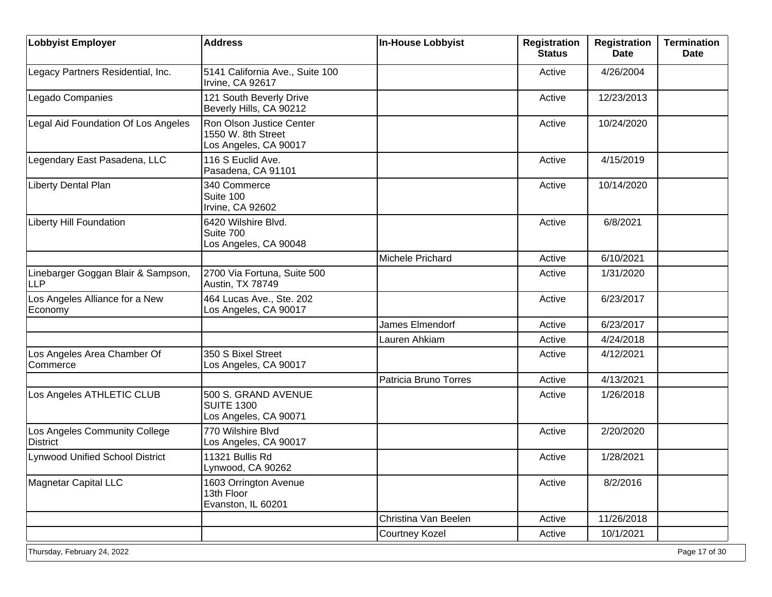| <b>Lobbyist Employer</b>                         | <b>Address</b>                                                          | <b>In-House Lobbyist</b> | <b>Registration</b><br><b>Status</b> | <b>Registration</b><br><b>Date</b> | <b>Termination</b><br><b>Date</b> |
|--------------------------------------------------|-------------------------------------------------------------------------|--------------------------|--------------------------------------|------------------------------------|-----------------------------------|
| Legacy Partners Residential, Inc.                | 5141 California Ave., Suite 100<br>Irvine, CA 92617                     |                          | Active                               | 4/26/2004                          |                                   |
| Legado Companies                                 | 121 South Beverly Drive<br>Beverly Hills, CA 90212                      |                          | Active                               | 12/23/2013                         |                                   |
| Legal Aid Foundation Of Los Angeles              | Ron Olson Justice Center<br>1550 W. 8th Street<br>Los Angeles, CA 90017 |                          | Active                               | 10/24/2020                         |                                   |
| Legendary East Pasadena, LLC                     | 116 S Euclid Ave.<br>Pasadena, CA 91101                                 |                          | Active                               | 4/15/2019                          |                                   |
| Liberty Dental Plan                              | 340 Commerce<br>Suite 100<br>Irvine, CA 92602                           |                          | Active                               | 10/14/2020                         |                                   |
| <b>Liberty Hill Foundation</b>                   | 6420 Wilshire Blvd.<br>Suite 700<br>Los Angeles, CA 90048               |                          | Active                               | 6/8/2021                           |                                   |
|                                                  |                                                                         | Michele Prichard         | Active                               | 6/10/2021                          |                                   |
| Linebarger Goggan Blair & Sampson,<br><b>LLP</b> | 2700 Via Fortuna, Suite 500<br>Austin, TX 78749                         |                          | Active                               | 1/31/2020                          |                                   |
| Los Angeles Alliance for a New<br>Economy        | 464 Lucas Ave., Ste. 202<br>Los Angeles, CA 90017                       |                          | Active                               | 6/23/2017                          |                                   |
|                                                  |                                                                         | James Elmendorf          | Active                               | 6/23/2017                          |                                   |
|                                                  |                                                                         | Lauren Ahkiam            | Active                               | 4/24/2018                          |                                   |
| Los Angeles Area Chamber Of<br>Commerce          | 350 S Bixel Street<br>Los Angeles, CA 90017                             |                          | Active                               | 4/12/2021                          |                                   |
|                                                  |                                                                         | Patricia Bruno Torres    | Active                               | 4/13/2021                          |                                   |
| Los Angeles ATHLETIC CLUB                        | 500 S. GRAND AVENUE<br><b>SUITE 1300</b><br>Los Angeles, CA 90071       |                          | Active                               | 1/26/2018                          |                                   |
| Los Angeles Community College<br><b>District</b> | 770 Wilshire Blvd<br>Los Angeles, CA 90017                              |                          | Active                               | 2/20/2020                          |                                   |
| <b>Lynwood Unified School District</b>           | 11321 Bullis Rd<br>Lynwood, CA 90262                                    |                          | Active                               | 1/28/2021                          |                                   |
| Magnetar Capital LLC                             | 1603 Orrington Avenue<br>13th Floor<br>Evanston, IL 60201               |                          | Active                               | 8/2/2016                           |                                   |
|                                                  |                                                                         | Christina Van Beelen     | Active                               | 11/26/2018                         |                                   |
|                                                  |                                                                         | Courtney Kozel           | Active                               | 10/1/2021                          |                                   |
| Thursday, February 24, 2022                      |                                                                         |                          |                                      |                                    | Page 17 of 30                     |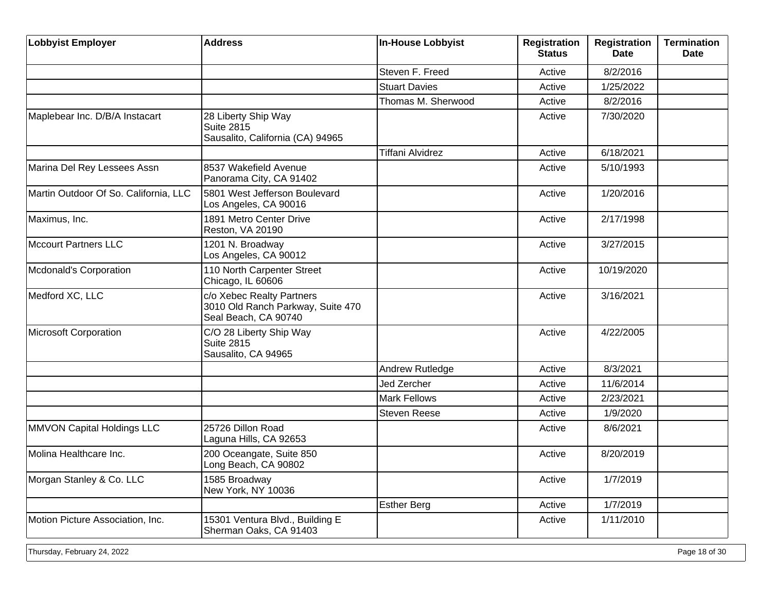| <b>Lobbyist Employer</b>              | <b>Address</b>                                                                         | <b>In-House Lobbyist</b> | <b>Registration</b><br><b>Status</b> | <b>Registration</b><br><b>Date</b> | <b>Termination</b><br><b>Date</b> |
|---------------------------------------|----------------------------------------------------------------------------------------|--------------------------|--------------------------------------|------------------------------------|-----------------------------------|
|                                       |                                                                                        | Steven F. Freed          | Active                               | 8/2/2016                           |                                   |
|                                       |                                                                                        | <b>Stuart Davies</b>     | Active                               | 1/25/2022                          |                                   |
|                                       |                                                                                        | Thomas M. Sherwood       | Active                               | 8/2/2016                           |                                   |
| Maplebear Inc. D/B/A Instacart        | 28 Liberty Ship Way<br><b>Suite 2815</b><br>Sausalito, California (CA) 94965           |                          | Active                               | 7/30/2020                          |                                   |
|                                       |                                                                                        | <b>Tiffani Alvidrez</b>  | Active                               | 6/18/2021                          |                                   |
| Marina Del Rey Lessees Assn           | 8537 Wakefield Avenue<br>Panorama City, CA 91402                                       |                          | Active                               | 5/10/1993                          |                                   |
| Martin Outdoor Of So. California, LLC | 5801 West Jefferson Boulevard<br>Los Angeles, CA 90016                                 |                          | Active                               | 1/20/2016                          |                                   |
| Maximus, Inc.                         | 1891 Metro Center Drive<br>Reston, VA 20190                                            |                          | Active                               | 2/17/1998                          |                                   |
| Mccourt Partners LLC                  | 1201 N. Broadway<br>Los Angeles, CA 90012                                              |                          | Active                               | 3/27/2015                          |                                   |
| Mcdonald's Corporation                | 110 North Carpenter Street<br>Chicago, IL 60606                                        |                          | Active                               | 10/19/2020                         |                                   |
| Medford XC, LLC                       | c/o Xebec Realty Partners<br>3010 Old Ranch Parkway, Suite 470<br>Seal Beach, CA 90740 |                          | Active                               | 3/16/2021                          |                                   |
| Microsoft Corporation                 | C/O 28 Liberty Ship Way<br><b>Suite 2815</b><br>Sausalito, CA 94965                    |                          | Active                               | 4/22/2005                          |                                   |
|                                       |                                                                                        | Andrew Rutledge          | Active                               | 8/3/2021                           |                                   |
|                                       |                                                                                        | Jed Zercher              | Active                               | 11/6/2014                          |                                   |
|                                       |                                                                                        | <b>Mark Fellows</b>      | Active                               | 2/23/2021                          |                                   |
|                                       |                                                                                        | <b>Steven Reese</b>      | Active                               | 1/9/2020                           |                                   |
| MMVON Capital Holdings LLC            | 25726 Dillon Road<br>Laguna Hills, CA 92653                                            |                          | Active                               | 8/6/2021                           |                                   |
| Molina Healthcare Inc.                | 200 Oceangate, Suite 850<br>Long Beach, CA 90802                                       |                          | Active                               | 8/20/2019                          |                                   |
| Morgan Stanley & Co. LLC              | 1585 Broadway<br>New York, NY 10036                                                    |                          | Active                               | 1/7/2019                           |                                   |
|                                       |                                                                                        | <b>Esther Berg</b>       | Active                               | 1/7/2019                           |                                   |
| Motion Picture Association, Inc.      | 15301 Ventura Blvd., Building E<br>Sherman Oaks, CA 91403                              |                          | Active                               | 1/11/2010                          |                                   |

Thursday, February 24, 2022 **Page 18 of 30**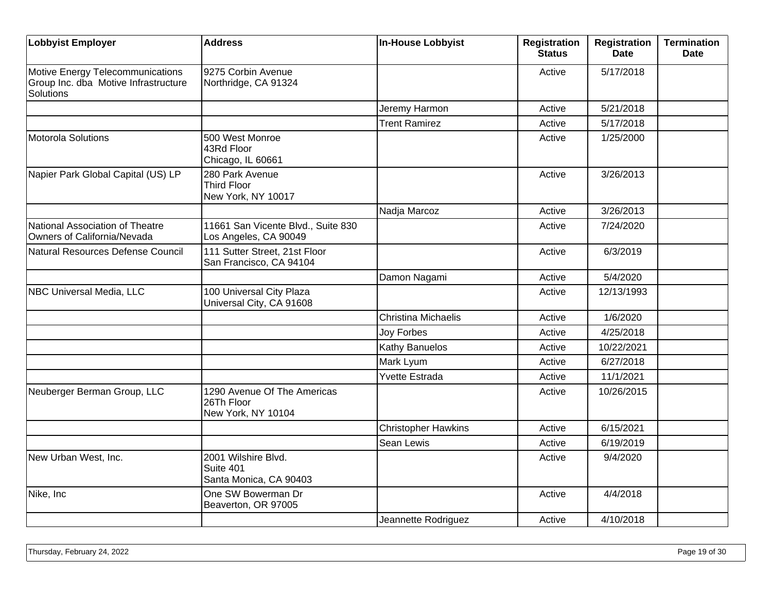| Lobbyist Employer                                                                            | <b>Address</b>                                                  | In-House Lobbyist          | <b>Registration</b><br><b>Status</b> | <b>Registration</b><br><b>Date</b> | <b>Termination</b><br><b>Date</b> |
|----------------------------------------------------------------------------------------------|-----------------------------------------------------------------|----------------------------|--------------------------------------|------------------------------------|-----------------------------------|
| Motive Energy Telecommunications<br>Group Inc. dba Motive Infrastructure<br><b>Solutions</b> | 9275 Corbin Avenue<br>Northridge, CA 91324                      |                            | Active                               | 5/17/2018                          |                                   |
|                                                                                              |                                                                 | Jeremy Harmon              | Active                               | 5/21/2018                          |                                   |
|                                                                                              |                                                                 | <b>Trent Ramirez</b>       | Active                               | 5/17/2018                          |                                   |
| Motorola Solutions                                                                           | 500 West Monroe<br>43Rd Floor<br>Chicago, IL 60661              |                            | Active                               | 1/25/2000                          |                                   |
| Napier Park Global Capital (US) LP                                                           | 280 Park Avenue<br><b>Third Floor</b><br>New York, NY 10017     |                            | Active                               | 3/26/2013                          |                                   |
|                                                                                              |                                                                 | Nadja Marcoz               | Active                               | 3/26/2013                          |                                   |
| National Association of Theatre<br>Owners of California/Nevada                               | 11661 San Vicente Blvd., Suite 830<br>Los Angeles, CA 90049     |                            | Active                               | 7/24/2020                          |                                   |
| Natural Resources Defense Council                                                            | 111 Sutter Street, 21st Floor<br>San Francisco, CA 94104        |                            | Active                               | 6/3/2019                           |                                   |
|                                                                                              |                                                                 | Damon Nagami               | Active                               | 5/4/2020                           |                                   |
| <b>NBC Universal Media, LLC</b>                                                              | 100 Universal City Plaza<br>Universal City, CA 91608            |                            | Active                               | 12/13/1993                         |                                   |
|                                                                                              |                                                                 | <b>Christina Michaelis</b> | Active                               | 1/6/2020                           |                                   |
|                                                                                              |                                                                 | <b>Joy Forbes</b>          | Active                               | 4/25/2018                          |                                   |
|                                                                                              |                                                                 | Kathy Banuelos             | Active                               | 10/22/2021                         |                                   |
|                                                                                              |                                                                 | Mark Lyum                  | Active                               | 6/27/2018                          |                                   |
|                                                                                              |                                                                 | <b>Yvette Estrada</b>      | Active                               | 11/1/2021                          |                                   |
| Neuberger Berman Group, LLC                                                                  | 1290 Avenue Of The Americas<br>26Th Floor<br>New York, NY 10104 |                            | Active                               | 10/26/2015                         |                                   |
|                                                                                              |                                                                 | <b>Christopher Hawkins</b> | Active                               | 6/15/2021                          |                                   |
|                                                                                              |                                                                 | Sean Lewis                 | Active                               | 6/19/2019                          |                                   |
| New Urban West, Inc.                                                                         | 2001 Wilshire Blvd.<br>Suite 401<br>Santa Monica, CA 90403      |                            | Active                               | 9/4/2020                           |                                   |
| Nike, Inc                                                                                    | One SW Bowerman Dr<br>Beaverton, OR 97005                       |                            | Active                               | 4/4/2018                           |                                   |
|                                                                                              |                                                                 | Jeannette Rodriguez        | Active                               | 4/10/2018                          |                                   |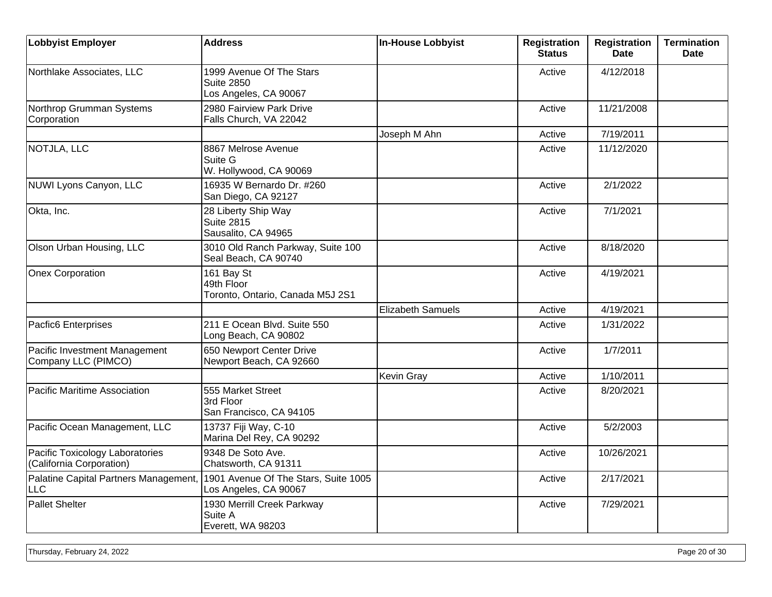| <b>Lobbyist Employer</b>                                    | <b>Address</b>                                                         | <b>In-House Lobbyist</b> | <b>Registration</b><br><b>Status</b> | <b>Registration</b><br>Date | <b>Termination</b><br><b>Date</b> |
|-------------------------------------------------------------|------------------------------------------------------------------------|--------------------------|--------------------------------------|-----------------------------|-----------------------------------|
| Northlake Associates, LLC                                   | 1999 Avenue Of The Stars<br><b>Suite 2850</b><br>Los Angeles, CA 90067 |                          | Active                               | 4/12/2018                   |                                   |
| Northrop Grumman Systems<br>Corporation                     | 2980 Fairview Park Drive<br>Falls Church, VA 22042                     |                          | Active                               | 11/21/2008                  |                                   |
|                                                             |                                                                        | Joseph M Ahn             | Active                               | 7/19/2011                   |                                   |
| NOTJLA, LLC                                                 | 8867 Melrose Avenue<br>Suite G<br>W. Hollywood, CA 90069               |                          | Active                               | 11/12/2020                  |                                   |
| NUWI Lyons Canyon, LLC                                      | 16935 W Bernardo Dr. #260<br>San Diego, CA 92127                       |                          | Active                               | 2/1/2022                    |                                   |
| Okta, Inc.                                                  | 28 Liberty Ship Way<br>Suite 2815<br>Sausalito, CA 94965               |                          | Active                               | 7/1/2021                    |                                   |
| Olson Urban Housing, LLC                                    | 3010 Old Ranch Parkway, Suite 100<br>Seal Beach, CA 90740              |                          | Active                               | 8/18/2020                   |                                   |
| <b>Onex Corporation</b>                                     | 161 Bay St<br>49th Floor<br>Toronto, Ontario, Canada M5J 2S1           |                          | Active                               | 4/19/2021                   |                                   |
|                                                             |                                                                        | <b>Elizabeth Samuels</b> | Active                               | 4/19/2021                   |                                   |
| Pacfic6 Enterprises                                         | 211 E Ocean Blvd. Suite 550<br>Long Beach, CA 90802                    |                          | Active                               | 1/31/2022                   |                                   |
| Pacific Investment Management<br>Company LLC (PIMCO)        | 650 Newport Center Drive<br>Newport Beach, CA 92660                    |                          | Active                               | 1/7/2011                    |                                   |
|                                                             |                                                                        | Kevin Gray               | Active                               | 1/10/2011                   |                                   |
| Pacific Maritime Association                                | 555 Market Street<br>3rd Floor<br>San Francisco, CA 94105              |                          | Active                               | 8/20/2021                   |                                   |
| Pacific Ocean Management, LLC                               | 13737 Fiji Way, C-10<br>Marina Del Rey, CA 90292                       |                          | Active                               | 5/2/2003                    |                                   |
| Pacific Toxicology Laboratories<br>(California Corporation) | 9348 De Soto Ave.<br>Chatsworth, CA 91311                              |                          | Active                               | 10/26/2021                  |                                   |
| Palatine Capital Partners Management,<br><b>LLC</b>         | 1901 Avenue Of The Stars, Suite 1005<br>Los Angeles, CA 90067          |                          | Active                               | 2/17/2021                   |                                   |
| <b>Pallet Shelter</b>                                       | 1930 Merrill Creek Parkway<br>Suite A<br>Everett, WA 98203             |                          | Active                               | 7/29/2021                   |                                   |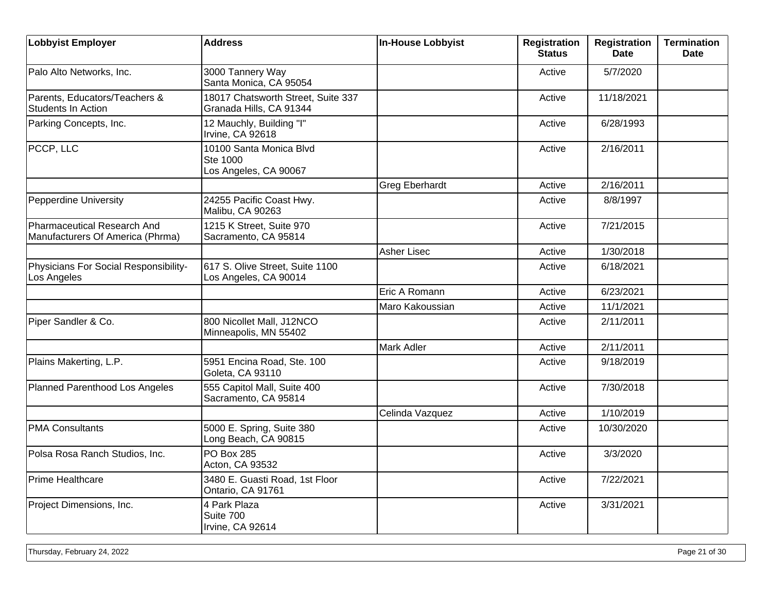| <b>Lobbyist Employer</b>                                        | <b>Address</b>                                                | <b>In-House Lobbyist</b> | <b>Registration</b><br><b>Status</b> | <b>Registration</b><br>Date | <b>Termination</b><br><b>Date</b> |
|-----------------------------------------------------------------|---------------------------------------------------------------|--------------------------|--------------------------------------|-----------------------------|-----------------------------------|
| Palo Alto Networks, Inc.                                        | 3000 Tannery Way<br>Santa Monica, CA 95054                    |                          | Active                               | 5/7/2020                    |                                   |
| Parents, Educators/Teachers &<br><b>Students In Action</b>      | 18017 Chatsworth Street, Suite 337<br>Granada Hills, CA 91344 |                          | Active                               | 11/18/2021                  |                                   |
| Parking Concepts, Inc.                                          | 12 Mauchly, Building "I"<br>Irvine, CA 92618                  |                          | Active                               | 6/28/1993                   |                                   |
| PCCP, LLC                                                       | 10100 Santa Monica Blvd<br>Ste 1000<br>Los Angeles, CA 90067  |                          | Active                               | 2/16/2011                   |                                   |
|                                                                 |                                                               | <b>Greg Eberhardt</b>    | Active                               | 2/16/2011                   |                                   |
| Pepperdine University                                           | 24255 Pacific Coast Hwy.<br>Malibu, CA 90263                  |                          | Active                               | 8/8/1997                    |                                   |
| Pharmaceutical Research And<br>Manufacturers Of America (Phrma) | 1215 K Street, Suite 970<br>Sacramento, CA 95814              |                          | Active                               | 7/21/2015                   |                                   |
|                                                                 |                                                               | <b>Asher Lisec</b>       | Active                               | 1/30/2018                   |                                   |
| Physicians For Social Responsibility-<br>Los Angeles            | 617 S. Olive Street, Suite 1100<br>Los Angeles, CA 90014      |                          | Active                               | 6/18/2021                   |                                   |
|                                                                 |                                                               | Eric A Romann            | Active                               | 6/23/2021                   |                                   |
|                                                                 |                                                               | Maro Kakoussian          | Active                               | 11/1/2021                   |                                   |
| Piper Sandler & Co.                                             | 800 Nicollet Mall, J12NCO<br>Minneapolis, MN 55402            |                          | Active                               | 2/11/2011                   |                                   |
|                                                                 |                                                               | Mark Adler               | Active                               | 2/11/2011                   |                                   |
| Plains Makerting, L.P.                                          | 5951 Encina Road, Ste. 100<br>Goleta, CA 93110                |                          | Active                               | 9/18/2019                   |                                   |
| Planned Parenthood Los Angeles                                  | 555 Capitol Mall, Suite 400<br>Sacramento, CA 95814           |                          | Active                               | 7/30/2018                   |                                   |
|                                                                 |                                                               | Celinda Vazquez          | Active                               | 1/10/2019                   |                                   |
| <b>PMA Consultants</b>                                          | 5000 E. Spring, Suite 380<br>Long Beach, CA 90815             |                          | Active                               | 10/30/2020                  |                                   |
| Polsa Rosa Ranch Studios, Inc.                                  | <b>PO Box 285</b><br>Acton, CA 93532                          |                          | Active                               | 3/3/2020                    |                                   |
| Prime Healthcare                                                | 3480 E. Guasti Road, 1st Floor<br>Ontario, CA 91761           |                          | Active                               | 7/22/2021                   |                                   |
| Project Dimensions, Inc.                                        | 4 Park Plaza<br>Suite 700<br>Irvine, CA 92614                 |                          | Active                               | 3/31/2021                   |                                   |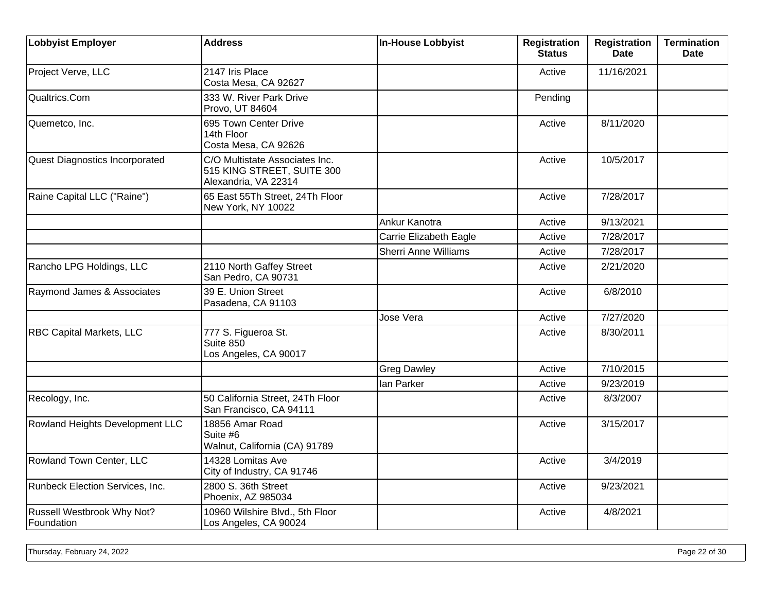| <b>Lobbyist Employer</b>                 | <b>Address</b>                                                                       | <b>In-House Lobbyist</b>    | <b>Registration</b><br><b>Status</b> | <b>Registration</b><br><b>Date</b> | <b>Termination</b><br><b>Date</b> |
|------------------------------------------|--------------------------------------------------------------------------------------|-----------------------------|--------------------------------------|------------------------------------|-----------------------------------|
| Project Verve, LLC                       | 2147 Iris Place<br>Costa Mesa, CA 92627                                              |                             | Active                               | 11/16/2021                         |                                   |
| Qualtrics.Com                            | 333 W. River Park Drive<br>Provo, UT 84604                                           |                             | Pending                              |                                    |                                   |
| Quemetco, Inc.                           | 695 Town Center Drive<br>14th Floor<br>Costa Mesa, CA 92626                          |                             | Active                               | 8/11/2020                          |                                   |
| Quest Diagnostics Incorporated           | C/O Multistate Associates Inc.<br>515 KING STREET, SUITE 300<br>Alexandria, VA 22314 |                             | Active                               | 10/5/2017                          |                                   |
| Raine Capital LLC ("Raine")              | 65 East 55Th Street, 24Th Floor<br>New York, NY 10022                                |                             | Active                               | 7/28/2017                          |                                   |
|                                          |                                                                                      | Ankur Kanotra               | Active                               | 9/13/2021                          |                                   |
|                                          |                                                                                      | Carrie Elizabeth Eagle      | Active                               | 7/28/2017                          |                                   |
|                                          |                                                                                      | <b>Sherri Anne Williams</b> | Active                               | 7/28/2017                          |                                   |
| Rancho LPG Holdings, LLC                 | 2110 North Gaffey Street<br>San Pedro, CA 90731                                      |                             | Active                               | 2/21/2020                          |                                   |
| Raymond James & Associates               | 39 E. Union Street<br>Pasadena, CA 91103                                             |                             | Active                               | 6/8/2010                           |                                   |
|                                          |                                                                                      | Jose Vera                   | Active                               | 7/27/2020                          |                                   |
| <b>RBC Capital Markets, LLC</b>          | 777 S. Figueroa St.<br>Suite 850<br>Los Angeles, CA 90017                            |                             | Active                               | 8/30/2011                          |                                   |
|                                          |                                                                                      | <b>Greg Dawley</b>          | Active                               | 7/10/2015                          |                                   |
|                                          |                                                                                      | Ian Parker                  | Active                               | 9/23/2019                          |                                   |
| Recology, Inc.                           | 50 California Street, 24Th Floor<br>San Francisco, CA 94111                          |                             | Active                               | 8/3/2007                           |                                   |
| Rowland Heights Development LLC          | 18856 Amar Road<br>Suite #6<br>Walnut, California (CA) 91789                         |                             | Active                               | 3/15/2017                          |                                   |
| Rowland Town Center, LLC                 | 14328 Lomitas Ave<br>City of Industry, CA 91746                                      |                             | Active                               | 3/4/2019                           |                                   |
| Runbeck Election Services, Inc.          | 2800 S. 36th Street<br>Phoenix, AZ 985034                                            |                             | Active                               | 9/23/2021                          |                                   |
| Russell Westbrook Why Not?<br>Foundation | 10960 Wilshire Blvd., 5th Floor<br>Los Angeles, CA 90024                             |                             | Active                               | 4/8/2021                           |                                   |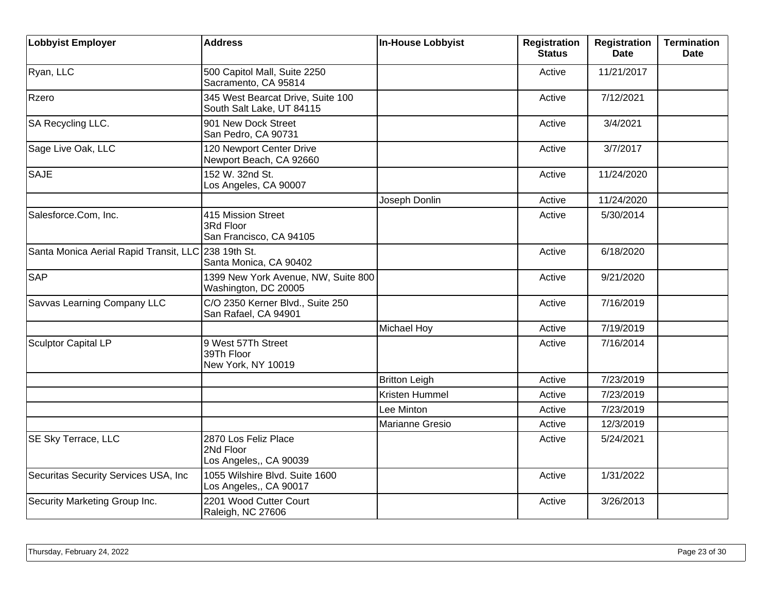| <b>Lobbyist Employer</b>               | <b>Address</b>                                                 | <b>In-House Lobbyist</b> | <b>Registration</b><br><b>Status</b> | <b>Registration</b><br><b>Date</b> | <b>Termination</b><br><b>Date</b> |
|----------------------------------------|----------------------------------------------------------------|--------------------------|--------------------------------------|------------------------------------|-----------------------------------|
| Ryan, LLC                              | 500 Capitol Mall, Suite 2250<br>Sacramento, CA 95814           |                          | Active                               | 11/21/2017                         |                                   |
| Rzero                                  | 345 West Bearcat Drive, Suite 100<br>South Salt Lake, UT 84115 |                          | Active                               | 7/12/2021                          |                                   |
| SA Recycling LLC.                      | 901 New Dock Street<br>San Pedro, CA 90731                     |                          | Active                               | 3/4/2021                           |                                   |
| Sage Live Oak, LLC                     | 120 Newport Center Drive<br>Newport Beach, CA 92660            |                          | Active                               | 3/7/2017                           |                                   |
| <b>SAJE</b>                            | 152 W. 32nd St.<br>Los Angeles, CA 90007                       |                          | Active                               | 11/24/2020                         |                                   |
|                                        |                                                                | Joseph Donlin            | Active                               | 11/24/2020                         |                                   |
| Salesforce.Com, Inc.                   | 415 Mission Street<br>3Rd Floor<br>San Francisco, CA 94105     |                          | Active                               | 5/30/2014                          |                                   |
| Santa Monica Aerial Rapid Transit, LLC | 238 19th St.<br>Santa Monica, CA 90402                         |                          | Active                               | 6/18/2020                          |                                   |
| <b>SAP</b>                             | 1399 New York Avenue, NW, Suite 800<br>Washington, DC 20005    |                          | Active                               | 9/21/2020                          |                                   |
| Savvas Learning Company LLC            | C/O 2350 Kerner Blvd., Suite 250<br>San Rafael, CA 94901       |                          | Active                               | 7/16/2019                          |                                   |
|                                        |                                                                | <b>Michael Hoy</b>       | Active                               | 7/19/2019                          |                                   |
| <b>Sculptor Capital LP</b>             | 9 West 57Th Street<br>39Th Floor<br>New York, NY 10019         |                          | Active                               | 7/16/2014                          |                                   |
|                                        |                                                                | <b>Britton Leigh</b>     | Active                               | 7/23/2019                          |                                   |
|                                        |                                                                | Kristen Hummel           | Active                               | 7/23/2019                          |                                   |
|                                        |                                                                | Lee Minton               | Active                               | 7/23/2019                          |                                   |
|                                        |                                                                | <b>Marianne Gresio</b>   | Active                               | 12/3/2019                          |                                   |
| SE Sky Terrace, LLC                    | 2870 Los Feliz Place<br>2Nd Floor<br>Los Angeles,, CA 90039    |                          | Active                               | 5/24/2021                          |                                   |
| Securitas Security Services USA, Inc.  | 1055 Wilshire Blvd. Suite 1600<br>Los Angeles,, CA 90017       |                          | Active                               | 1/31/2022                          |                                   |
| Security Marketing Group Inc.          | 2201 Wood Cutter Court<br>Raleigh, NC 27606                    |                          | Active                               | 3/26/2013                          |                                   |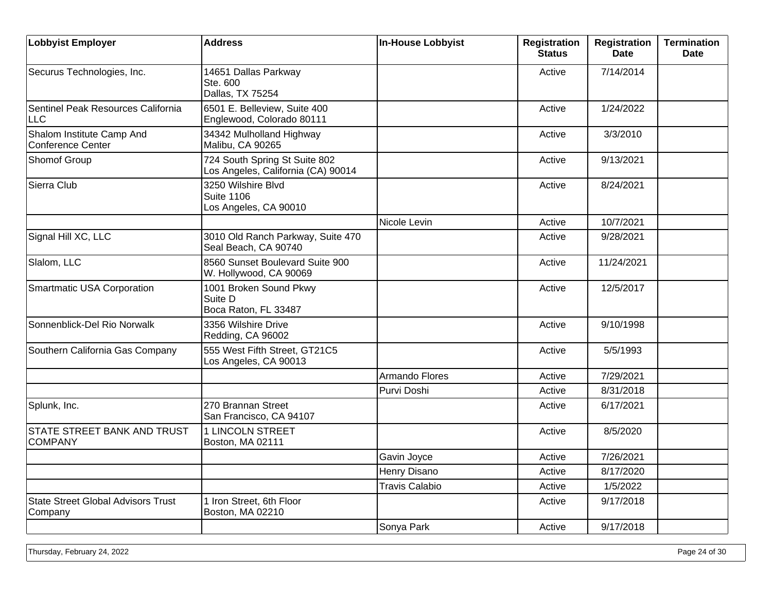| <b>Lobbyist Employer</b>                             | <b>Address</b>                                                      | <b>In-House Lobbyist</b> | <b>Registration</b><br><b>Status</b> | <b>Registration</b><br><b>Date</b> | <b>Termination</b><br><b>Date</b> |
|------------------------------------------------------|---------------------------------------------------------------------|--------------------------|--------------------------------------|------------------------------------|-----------------------------------|
| Securus Technologies, Inc.                           | 14651 Dallas Parkway<br>Ste. 600<br>Dallas, TX 75254                |                          | Active                               | 7/14/2014                          |                                   |
| Sentinel Peak Resources California<br><b>LLC</b>     | 6501 E. Belleview, Suite 400<br>Englewood, Colorado 80111           |                          | Active                               | 1/24/2022                          |                                   |
| Shalom Institute Camp And<br>Conference Center       | 34342 Mulholland Highway<br>Malibu, CA 90265                        |                          | Active                               | 3/3/2010                           |                                   |
| Shomof Group                                         | 724 South Spring St Suite 802<br>Los Angeles, California (CA) 90014 |                          | Active                               | 9/13/2021                          |                                   |
| Sierra Club                                          | 3250 Wilshire Blvd<br><b>Suite 1106</b><br>Los Angeles, CA 90010    |                          | Active                               | 8/24/2021                          |                                   |
|                                                      |                                                                     | Nicole Levin             | Active                               | 10/7/2021                          |                                   |
| Signal Hill XC, LLC                                  | 3010 Old Ranch Parkway, Suite 470<br>Seal Beach, CA 90740           |                          | Active                               | 9/28/2021                          |                                   |
| Slalom, LLC                                          | 8560 Sunset Boulevard Suite 900<br>W. Hollywood, CA 90069           |                          | Active                               | 11/24/2021                         |                                   |
| Smartmatic USA Corporation                           | 1001 Broken Sound Pkwy<br>Suite D<br>Boca Raton, FL 33487           |                          | Active                               | 12/5/2017                          |                                   |
| Sonnenblick-Del Rio Norwalk                          | 3356 Wilshire Drive<br>Redding, CA 96002                            |                          | Active                               | 9/10/1998                          |                                   |
| Southern California Gas Company                      | 555 West Fifth Street, GT21C5<br>Los Angeles, CA 90013              |                          | Active                               | 5/5/1993                           |                                   |
|                                                      |                                                                     | Armando Flores           | Active                               | 7/29/2021                          |                                   |
|                                                      |                                                                     | Purvi Doshi              | Active                               | 8/31/2018                          |                                   |
| Splunk, Inc.                                         | 270 Brannan Street<br>San Francisco, CA 94107                       |                          | Active                               | 6/17/2021                          |                                   |
| <b>STATE STREET BANK AND TRUST</b><br><b>COMPANY</b> | <b>1 LINCOLN STREET</b><br>Boston, MA 02111                         |                          | Active                               | 8/5/2020                           |                                   |
|                                                      |                                                                     | Gavin Joyce              | Active                               | 7/26/2021                          |                                   |
|                                                      |                                                                     | Henry Disano             | Active                               | 8/17/2020                          |                                   |
|                                                      |                                                                     | <b>Travis Calabio</b>    | Active                               | 1/5/2022                           |                                   |
| <b>State Street Global Advisors Trust</b><br>Company | 1 Iron Street, 6th Floor<br>Boston, MA 02210                        |                          | Active                               | 9/17/2018                          |                                   |
|                                                      |                                                                     | Sonya Park               | Active                               | 9/17/2018                          |                                   |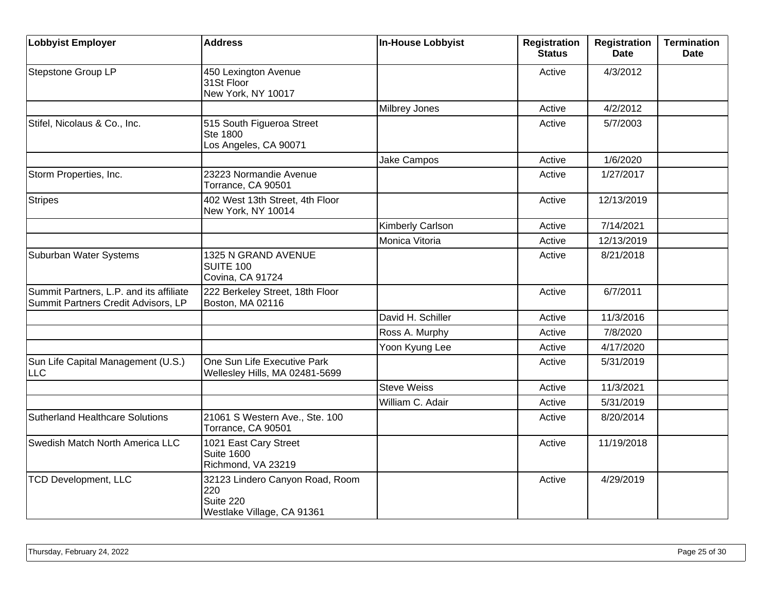| <b>Lobbyist Employer</b>                                                       | <b>Address</b>                                                                    | <b>In-House Lobbyist</b> | <b>Registration</b><br><b>Status</b> | <b>Registration</b><br><b>Date</b> | <b>Termination</b><br><b>Date</b> |
|--------------------------------------------------------------------------------|-----------------------------------------------------------------------------------|--------------------------|--------------------------------------|------------------------------------|-----------------------------------|
| Stepstone Group LP                                                             | 450 Lexington Avenue<br>31St Floor<br>New York, NY 10017                          |                          | Active                               | 4/3/2012                           |                                   |
|                                                                                |                                                                                   | Milbrey Jones            | Active                               | 4/2/2012                           |                                   |
| Stifel, Nicolaus & Co., Inc.                                                   | 515 South Figueroa Street<br>Ste 1800<br>Los Angeles, CA 90071                    |                          | Active                               | 5/7/2003                           |                                   |
|                                                                                |                                                                                   | Jake Campos              | Active                               | 1/6/2020                           |                                   |
| Storm Properties, Inc.                                                         | 23223 Normandie Avenue<br>Torrance, CA 90501                                      |                          | Active                               | 1/27/2017                          |                                   |
| <b>Stripes</b>                                                                 | 402 West 13th Street, 4th Floor<br>New York, NY 10014                             |                          | Active                               | 12/13/2019                         |                                   |
|                                                                                |                                                                                   | Kimberly Carlson         | Active                               | 7/14/2021                          |                                   |
|                                                                                |                                                                                   | Monica Vitoria           | Active                               | 12/13/2019                         |                                   |
| Suburban Water Systems                                                         | 1325 N GRAND AVENUE<br><b>SUITE 100</b><br>Covina, CA 91724                       |                          | Active                               | 8/21/2018                          |                                   |
| Summit Partners, L.P. and its affiliate<br>Summit Partners Credit Advisors, LP | 222 Berkeley Street, 18th Floor<br>Boston, MA 02116                               |                          | Active                               | 6/7/2011                           |                                   |
|                                                                                |                                                                                   | David H. Schiller        | Active                               | 11/3/2016                          |                                   |
|                                                                                |                                                                                   | Ross A. Murphy           | Active                               | 7/8/2020                           |                                   |
|                                                                                |                                                                                   | Yoon Kyung Lee           | Active                               | 4/17/2020                          |                                   |
| Sun Life Capital Management (U.S.)<br>LLC                                      | One Sun Life Executive Park<br>Wellesley Hills, MA 02481-5699                     |                          | Active                               | 5/31/2019                          |                                   |
|                                                                                |                                                                                   | <b>Steve Weiss</b>       | Active                               | 11/3/2021                          |                                   |
|                                                                                |                                                                                   | William C. Adair         | Active                               | 5/31/2019                          |                                   |
| <b>Sutherland Healthcare Solutions</b>                                         | 21061 S Western Ave., Ste. 100<br>Torrance, CA 90501                              |                          | Active                               | 8/20/2014                          |                                   |
| Swedish Match North America LLC                                                | 1021 East Cary Street<br><b>Suite 1600</b><br>Richmond, VA 23219                  |                          | Active                               | 11/19/2018                         |                                   |
| <b>TCD Development, LLC</b>                                                    | 32123 Lindero Canyon Road, Room<br>220<br>Suite 220<br>Westlake Village, CA 91361 |                          | Active                               | 4/29/2019                          |                                   |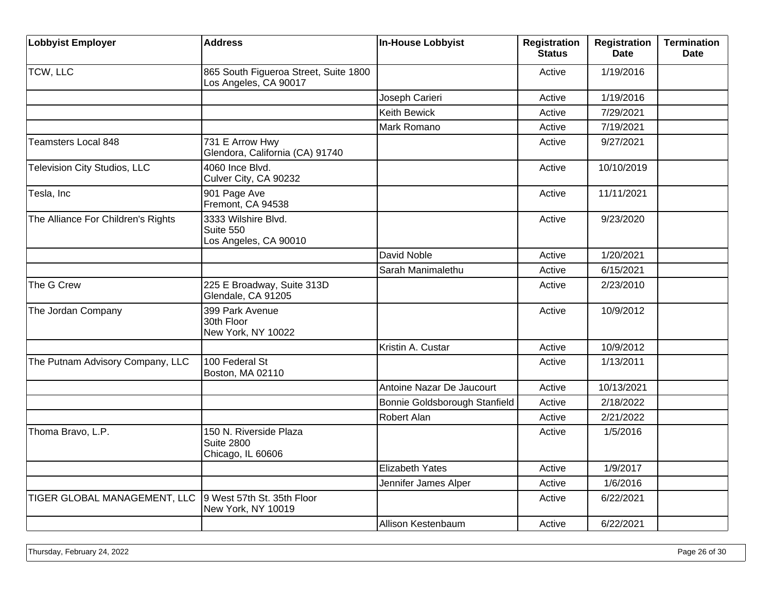| <b>Lobbyist Employer</b>            | <b>Address</b>                                                   | <b>In-House Lobbyist</b>      | <b>Registration</b><br><b>Status</b> | <b>Registration</b><br><b>Date</b> | <b>Termination</b><br><b>Date</b> |
|-------------------------------------|------------------------------------------------------------------|-------------------------------|--------------------------------------|------------------------------------|-----------------------------------|
| TCW, LLC                            | 865 South Figueroa Street, Suite 1800<br>Los Angeles, CA 90017   |                               | Active                               | 1/19/2016                          |                                   |
|                                     |                                                                  | Joseph Carieri                | Active                               | 1/19/2016                          |                                   |
|                                     |                                                                  | Keith Bewick                  | Active                               | 7/29/2021                          |                                   |
|                                     |                                                                  | Mark Romano                   | Active                               | 7/19/2021                          |                                   |
| <b>Teamsters Local 848</b>          | 731 E Arrow Hwy<br>Glendora, California (CA) 91740               |                               | Active                               | 9/27/2021                          |                                   |
| <b>Television City Studios, LLC</b> | 4060 Ince Blvd.<br>Culver City, CA 90232                         |                               | Active                               | 10/10/2019                         |                                   |
| Tesla, Inc                          | 901 Page Ave<br>Fremont, CA 94538                                |                               | Active                               | 11/11/2021                         |                                   |
| The Alliance For Children's Rights  | 3333 Wilshire Blvd.<br>Suite 550<br>Los Angeles, CA 90010        |                               | Active                               | 9/23/2020                          |                                   |
|                                     |                                                                  | David Noble                   | Active                               | 1/20/2021                          |                                   |
|                                     |                                                                  | Sarah Manimalethu             | Active                               | 6/15/2021                          |                                   |
| The G Crew                          | 225 E Broadway, Suite 313D<br>Glendale, CA 91205                 |                               | Active                               | 2/23/2010                          |                                   |
| The Jordan Company                  | 399 Park Avenue<br>30th Floor<br>New York, NY 10022              |                               | Active                               | 10/9/2012                          |                                   |
|                                     |                                                                  | Kristin A. Custar             | Active                               | 10/9/2012                          |                                   |
| The Putnam Advisory Company, LLC    | 100 Federal St<br>Boston, MA 02110                               |                               | Active                               | 1/13/2011                          |                                   |
|                                     |                                                                  | Antoine Nazar De Jaucourt     | Active                               | 10/13/2021                         |                                   |
|                                     |                                                                  | Bonnie Goldsborough Stanfield | Active                               | 2/18/2022                          |                                   |
|                                     |                                                                  | Robert Alan                   | Active                               | 2/21/2022                          |                                   |
| Thoma Bravo, L.P.                   | 150 N. Riverside Plaza<br><b>Suite 2800</b><br>Chicago, IL 60606 |                               | Active                               | 1/5/2016                           |                                   |
|                                     |                                                                  | <b>Elizabeth Yates</b>        | Active                               | 1/9/2017                           |                                   |
|                                     |                                                                  | Jennifer James Alper          | Active                               | 1/6/2016                           |                                   |
| TIGER GLOBAL MANAGEMENT, LLC        | 9 West 57th St. 35th Floor<br>New York, NY 10019                 |                               | Active                               | 6/22/2021                          |                                   |
|                                     |                                                                  | Allison Kestenbaum            | Active                               | 6/22/2021                          |                                   |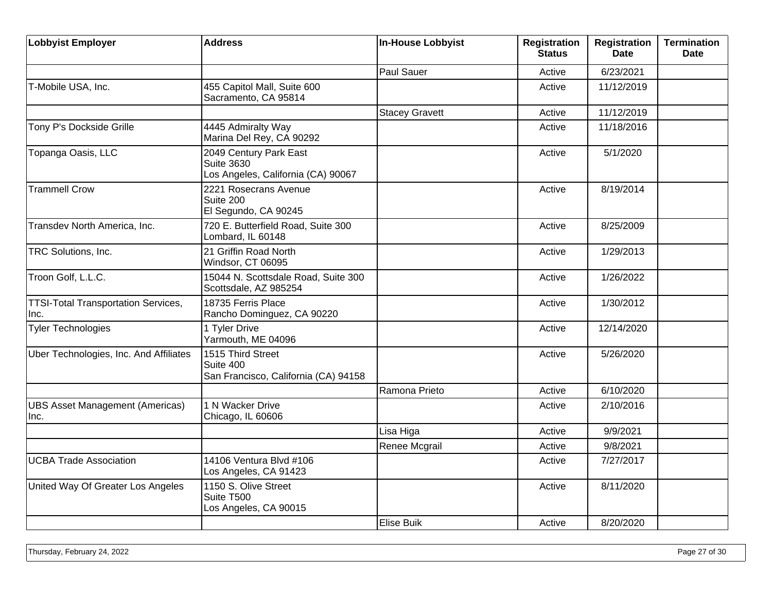| Lobbyist Employer                                  | <b>Address</b>                                                                    | In-House Lobbyist     | <b>Registration</b><br><b>Status</b> | <b>Registration</b><br><b>Date</b> | <b>Termination</b><br><b>Date</b> |
|----------------------------------------------------|-----------------------------------------------------------------------------------|-----------------------|--------------------------------------|------------------------------------|-----------------------------------|
|                                                    |                                                                                   | Paul Sauer            | Active                               | 6/23/2021                          |                                   |
| T-Mobile USA, Inc.                                 | 455 Capitol Mall, Suite 600<br>Sacramento, CA 95814                               |                       | Active                               | 11/12/2019                         |                                   |
|                                                    |                                                                                   | <b>Stacey Gravett</b> | Active                               | 11/12/2019                         |                                   |
| Tony P's Dockside Grille                           | 4445 Admiralty Way<br>Marina Del Rey, CA 90292                                    |                       | Active                               | 11/18/2016                         |                                   |
| Topanga Oasis, LLC                                 | 2049 Century Park East<br><b>Suite 3630</b><br>Los Angeles, California (CA) 90067 |                       | Active                               | 5/1/2020                           |                                   |
| <b>Trammell Crow</b>                               | 2221 Rosecrans Avenue<br>Suite 200<br>El Segundo, CA 90245                        |                       | Active                               | 8/19/2014                          |                                   |
| Transdev North America, Inc.                       | 720 E. Butterfield Road, Suite 300<br>Lombard, IL 60148                           |                       | Active                               | 8/25/2009                          |                                   |
| TRC Solutions, Inc.                                | 21 Griffin Road North<br>Windsor, CT 06095                                        |                       | Active                               | 1/29/2013                          |                                   |
| Troon Golf, L.L.C.                                 | 15044 N. Scottsdale Road, Suite 300<br>Scottsdale, AZ 985254                      |                       | Active                               | 1/26/2022                          |                                   |
| <b>TTSI-Total Transportation Services,</b><br>Inc. | 18735 Ferris Place<br>Rancho Dominguez, CA 90220                                  |                       | Active                               | 1/30/2012                          |                                   |
| <b>Tyler Technologies</b>                          | 1 Tyler Drive<br>Yarmouth, ME 04096                                               |                       | Active                               | 12/14/2020                         |                                   |
| Uber Technologies, Inc. And Affiliates             | 1515 Third Street<br>Suite 400<br>San Francisco, California (CA) 94158            |                       | Active                               | 5/26/2020                          |                                   |
|                                                    |                                                                                   | Ramona Prieto         | Active                               | 6/10/2020                          |                                   |
| <b>UBS Asset Management (Americas)</b><br>Inc.     | 1 N Wacker Drive<br>Chicago, IL 60606                                             |                       | Active                               | 2/10/2016                          |                                   |
|                                                    |                                                                                   | Lisa Higa             | Active                               | 9/9/2021                           |                                   |
|                                                    |                                                                                   | Renee Mcgrail         | Active                               | 9/8/2021                           |                                   |
| <b>UCBA Trade Association</b>                      | 14106 Ventura Blvd #106<br>Los Angeles, CA 91423                                  |                       | Active                               | 7/27/2017                          |                                   |
| United Way Of Greater Los Angeles                  | 1150 S. Olive Street<br>Suite T500<br>Los Angeles, CA 90015                       |                       | Active                               | 8/11/2020                          |                                   |
|                                                    |                                                                                   | Elise Buik            | Active                               | 8/20/2020                          |                                   |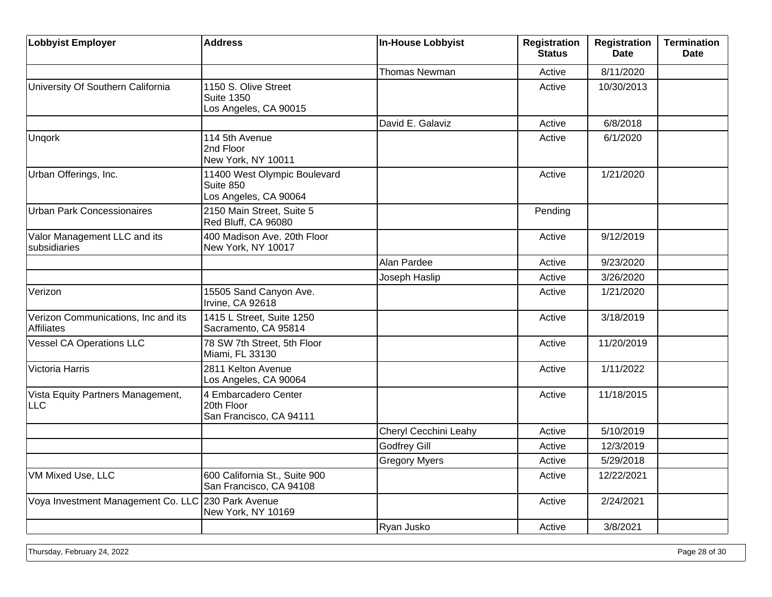| <b>Lobbyist Employer</b>                                 | <b>Address</b>                                                     | In-House Lobbyist     | <b>Registration</b><br><b>Status</b> | <b>Registration</b><br><b>Date</b> | <b>Termination</b><br><b>Date</b> |
|----------------------------------------------------------|--------------------------------------------------------------------|-----------------------|--------------------------------------|------------------------------------|-----------------------------------|
|                                                          |                                                                    | <b>Thomas Newman</b>  | Active                               | 8/11/2020                          |                                   |
| University Of Southern California                        | 1150 S. Olive Street<br><b>Suite 1350</b><br>Los Angeles, CA 90015 |                       | Active                               | 10/30/2013                         |                                   |
|                                                          |                                                                    | David E. Galaviz      | Active                               | 6/8/2018                           |                                   |
| Ungork                                                   | 114 5th Avenue<br>2nd Floor<br>New York, NY 10011                  |                       | Active                               | 6/1/2020                           |                                   |
| Urban Offerings, Inc.                                    | 11400 West Olympic Boulevard<br>Suite 850<br>Los Angeles, CA 90064 |                       | Active                               | 1/21/2020                          |                                   |
| <b>Urban Park Concessionaires</b>                        | 2150 Main Street, Suite 5<br>Red Bluff, CA 96080                   |                       | Pending                              |                                    |                                   |
| Valor Management LLC and its<br>subsidiaries             | 400 Madison Ave. 20th Floor<br>New York, NY 10017                  |                       | Active                               | 9/12/2019                          |                                   |
|                                                          |                                                                    | Alan Pardee           | Active                               | 9/23/2020                          |                                   |
|                                                          |                                                                    | Joseph Haslip         | Active                               | 3/26/2020                          |                                   |
| Verizon                                                  | 15505 Sand Canyon Ave.<br>Irvine, CA 92618                         |                       | Active                               | 1/21/2020                          |                                   |
| Verizon Communications, Inc and its<br><b>Affiliates</b> | 1415 L Street, Suite 1250<br>Sacramento, CA 95814                  |                       | Active                               | 3/18/2019                          |                                   |
| <b>Vessel CA Operations LLC</b>                          | 78 SW 7th Street, 5th Floor<br>Miami, FL 33130                     |                       | Active                               | 11/20/2019                         |                                   |
| Victoria Harris                                          | 2811 Kelton Avenue<br>Los Angeles, CA 90064                        |                       | Active                               | 1/11/2022                          |                                   |
| Vista Equity Partners Management,<br><b>LLC</b>          | 4 Embarcadero Center<br>20th Floor<br>San Francisco, CA 94111      |                       | Active                               | 11/18/2015                         |                                   |
|                                                          |                                                                    | Cheryl Cecchini Leahy | Active                               | 5/10/2019                          |                                   |
|                                                          |                                                                    | <b>Godfrey Gill</b>   | Active                               | 12/3/2019                          |                                   |
|                                                          |                                                                    | <b>Gregory Myers</b>  | Active                               | 5/29/2018                          |                                   |
| VM Mixed Use, LLC                                        | 600 California St., Suite 900<br>San Francisco, CA 94108           |                       | Active                               | 12/22/2021                         |                                   |
| Voya Investment Management Co. LLC 230 Park Avenue       | New York, NY 10169                                                 |                       | Active                               | 2/24/2021                          |                                   |
|                                                          |                                                                    | Ryan Jusko            | Active                               | 3/8/2021                           |                                   |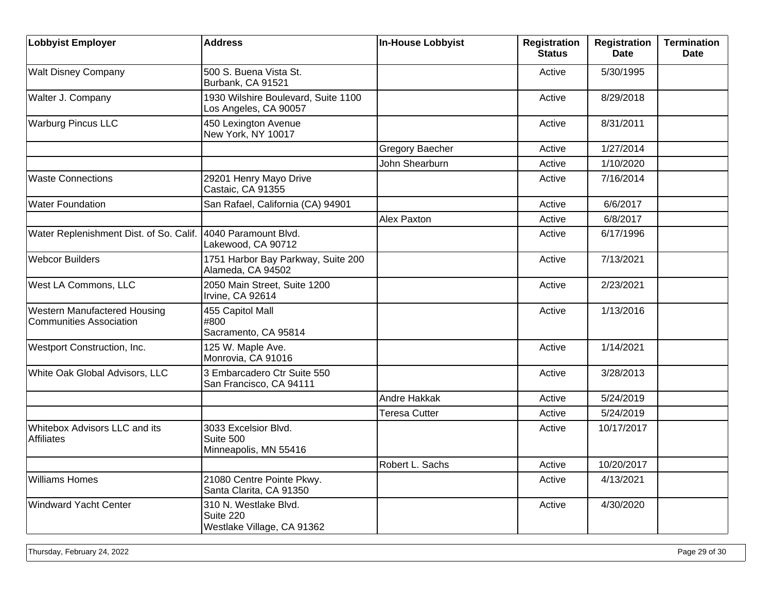| <b>Lobbyist Employer</b>                                              | <b>Address</b>                                                   | <b>In-House Lobbyist</b> | <b>Registration</b><br><b>Status</b> | <b>Registration</b><br>Date | <b>Termination</b><br><b>Date</b> |
|-----------------------------------------------------------------------|------------------------------------------------------------------|--------------------------|--------------------------------------|-----------------------------|-----------------------------------|
| <b>Walt Disney Company</b>                                            | 500 S. Buena Vista St.<br>Burbank, CA 91521                      |                          | Active                               | 5/30/1995                   |                                   |
| Walter J. Company                                                     | 1930 Wilshire Boulevard, Suite 1100<br>Los Angeles, CA 90057     |                          | Active                               | 8/29/2018                   |                                   |
| <b>Warburg Pincus LLC</b>                                             | 450 Lexington Avenue<br>New York, NY 10017                       |                          | Active                               | 8/31/2011                   |                                   |
|                                                                       |                                                                  | Gregory Baecher          | Active                               | 1/27/2014                   |                                   |
|                                                                       |                                                                  | John Shearburn           | Active                               | 1/10/2020                   |                                   |
| <b>Waste Connections</b>                                              | 29201 Henry Mayo Drive<br>Castaic, CA 91355                      |                          | Active                               | 7/16/2014                   |                                   |
| <b>Water Foundation</b>                                               | San Rafael, California (CA) 94901                                |                          | Active                               | 6/6/2017                    |                                   |
|                                                                       |                                                                  | <b>Alex Paxton</b>       | Active                               | 6/8/2017                    |                                   |
| Water Replenishment Dist. of So. Calif.                               | 4040 Paramount Blvd.<br>Lakewood, CA 90712                       |                          | Active                               | 6/17/1996                   |                                   |
| <b>Webcor Builders</b>                                                | 1751 Harbor Bay Parkway, Suite 200<br>Alameda, CA 94502          |                          | Active                               | 7/13/2021                   |                                   |
| West LA Commons, LLC                                                  | 2050 Main Street, Suite 1200<br>Irvine, CA 92614                 |                          | Active                               | 2/23/2021                   |                                   |
| <b>Western Manufactered Housing</b><br><b>Communities Association</b> | 455 Capitol Mall<br>#800<br>Sacramento, CA 95814                 |                          | Active                               | 1/13/2016                   |                                   |
| Westport Construction, Inc.                                           | 125 W. Maple Ave.<br>Monrovia, CA 91016                          |                          | Active                               | 1/14/2021                   |                                   |
| White Oak Global Advisors, LLC                                        | 3 Embarcadero Ctr Suite 550<br>San Francisco, CA 94111           |                          | Active                               | 3/28/2013                   |                                   |
|                                                                       |                                                                  | Andre Hakkak             | Active                               | 5/24/2019                   |                                   |
|                                                                       |                                                                  | <b>Teresa Cutter</b>     | Active                               | 5/24/2019                   |                                   |
| Whitebox Advisors LLC and its<br><b>Affiliates</b>                    | 3033 Excelsior Blvd.<br>Suite 500<br>Minneapolis, MN 55416       |                          | Active                               | 10/17/2017                  |                                   |
|                                                                       |                                                                  | Robert L. Sachs          | Active                               | 10/20/2017                  |                                   |
| <b>Williams Homes</b>                                                 | 21080 Centre Pointe Pkwy.<br>Santa Clarita, CA 91350             |                          | Active                               | 4/13/2021                   |                                   |
| Windward Yacht Center                                                 | 310 N. Westlake Blvd.<br>Suite 220<br>Westlake Village, CA 91362 |                          | Active                               | 4/30/2020                   |                                   |